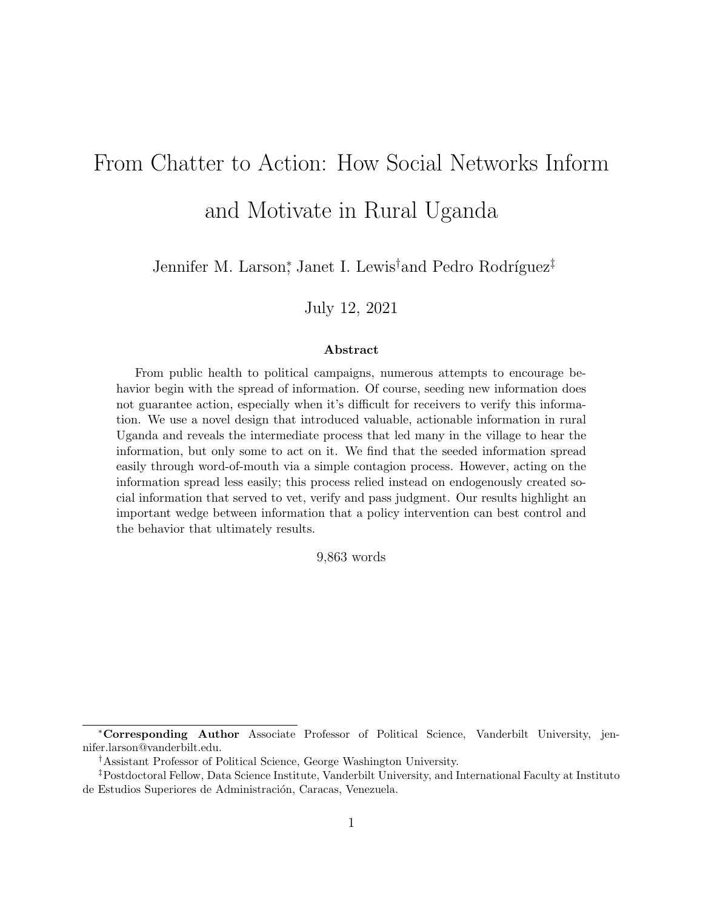# From Chatter to Action: How Social Networks Inform and Motivate in Rural Uganda

Jennifer M. Larson<sup>\*</sup>, Janet I. Lewis<sup>†</sup>and Pedro Rodríguez<sup>‡</sup>

July 12, 2021

#### Abstract

From public health to political campaigns, numerous attempts to encourage behavior begin with the spread of information. Of course, seeding new information does not guarantee action, especially when it's difficult for receivers to verify this information. We use a novel design that introduced valuable, actionable information in rural Uganda and reveals the intermediate process that led many in the village to hear the information, but only some to act on it. We find that the seeded information spread easily through word-of-mouth via a simple contagion process. However, acting on the information spread less easily; this process relied instead on endogenously created social information that served to vet, verify and pass judgment. Our results highlight an important wedge between information that a policy intervention can best control and the behavior that ultimately results.

9,863 words

<sup>∗</sup>Corresponding Author Associate Professor of Political Science, Vanderbilt University, jennifer.larson@vanderbilt.edu.

<sup>†</sup>Assistant Professor of Political Science, George Washington University.

<sup>‡</sup>Postdoctoral Fellow, Data Science Institute, Vanderbilt University, and International Faculty at Instituto de Estudios Superiores de Administración, Caracas, Venezuela.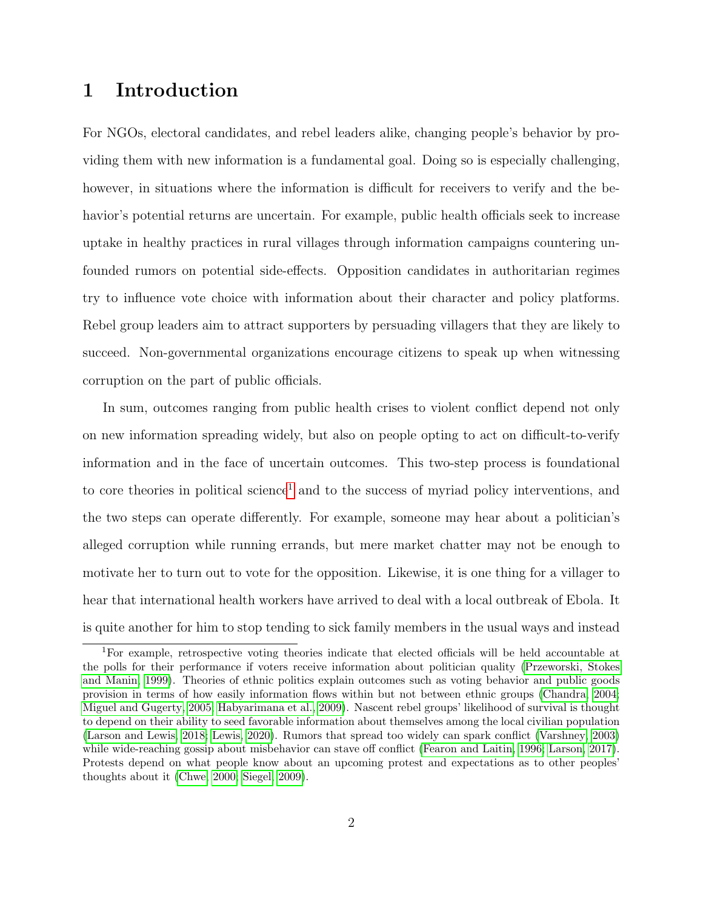## 1 Introduction

For NGOs, electoral candidates, and rebel leaders alike, changing people's behavior by providing them with new information is a fundamental goal. Doing so is especially challenging, however, in situations where the information is difficult for receivers to verify and the behavior's potential returns are uncertain. For example, public health officials seek to increase uptake in healthy practices in rural villages through information campaigns countering unfounded rumors on potential side-effects. Opposition candidates in authoritarian regimes try to influence vote choice with information about their character and policy platforms. Rebel group leaders aim to attract supporters by persuading villagers that they are likely to succeed. Non-governmental organizations encourage citizens to speak up when witnessing corruption on the part of public officials.

In sum, outcomes ranging from public health crises to violent conflict depend not only on new information spreading widely, but also on people opting to act on difficult-to-verify information and in the face of uncertain outcomes. This two-step process is foundational to core theories in political science<sup>[1](#page-1-0)</sup> and to the success of myriad policy interventions, and the two steps can operate differently. For example, someone may hear about a politician's alleged corruption while running errands, but mere market chatter may not be enough to motivate her to turn out to vote for the opposition. Likewise, it is one thing for a villager to hear that international health workers have arrived to deal with a local outbreak of Ebola. It is quite another for him to stop tending to sick family members in the usual ways and instead

<span id="page-1-0"></span><sup>1</sup>For example, retrospective voting theories indicate that elected officials will be held accountable at the polls for their performance if voters receive information about politician quality [\(Przeworski, Stokes](#page-38-0) [and Manin, 1999\)](#page-38-0). Theories of ethnic politics explain outcomes such as voting behavior and public goods provision in terms of how easily information flows within but not between ethnic groups [\(Chandra, 2004;](#page-35-0) [Miguel and Gugerty, 2005;](#page-37-0) [Habyarimana et al., 2009\)](#page-36-0). Nascent rebel groups' likelihood of survival is thought to depend on their ability to seed favorable information about themselves among the local civilian population [\(Larson and Lewis, 2018;](#page-37-1) [Lewis, 2020\)](#page-37-2). Rumors that spread too widely can spark conflict [\(Varshney, 2003\)](#page-38-1) while wide-reaching gossip about misbehavior can stave off conflict [\(Fearon and Laitin, 1996;](#page-36-1) [Larson, 2017\)](#page-37-3). Protests depend on what people know about an upcoming protest and expectations as to other peoples' thoughts about it [\(Chwe, 2000;](#page-35-1) [Siegel, 2009\)](#page-38-2).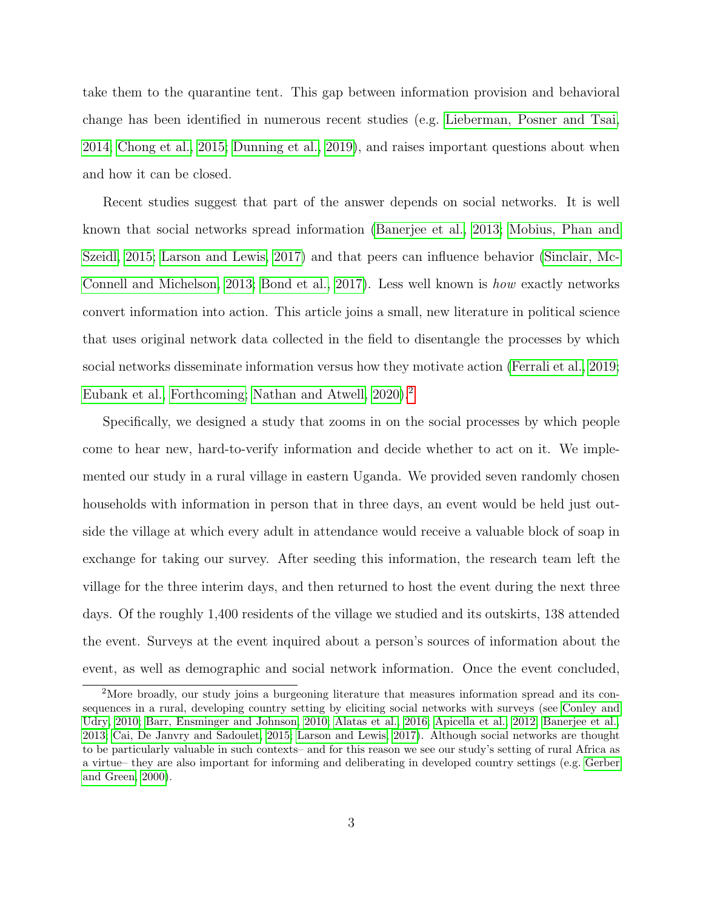take them to the quarantine tent. This gap between information provision and behavioral change has been identified in numerous recent studies (e.g. [Lieberman, Posner and Tsai,](#page-37-4) [2014;](#page-37-4) [Chong et al., 2015;](#page-35-2) [Dunning et al., 2019\)](#page-35-3), and raises important questions about when and how it can be closed.

Recent studies suggest that part of the answer depends on social networks. It is well known that social networks spread information [\(Banerjee et al., 2013;](#page-34-0) [Mobius, Phan and](#page-38-3) [Szeidl, 2015;](#page-38-3) [Larson and Lewis, 2017\)](#page-37-5) and that peers can influence behavior [\(Sinclair, Mc-](#page-38-4)[Connell and Michelson, 2013;](#page-38-4) [Bond et al., 2017\)](#page-34-1). Less well known is how exactly networks convert information into action. This article joins a small, new literature in political science that uses original network data collected in the field to disentangle the processes by which social networks disseminate information versus how they motivate action [\(Ferrali et al., 2019;](#page-36-2) [Eubank et al., Forthcoming;](#page-36-3) [Nathan and Atwell, 2020\)](#page-38-5).<sup>[2](#page-2-0)</sup>

Specifically, we designed a study that zooms in on the social processes by which people come to hear new, hard-to-verify information and decide whether to act on it. We implemented our study in a rural village in eastern Uganda. We provided seven randomly chosen households with information in person that in three days, an event would be held just outside the village at which every adult in attendance would receive a valuable block of soap in exchange for taking our survey. After seeding this information, the research team left the village for the three interim days, and then returned to host the event during the next three days. Of the roughly 1,400 residents of the village we studied and its outskirts, 138 attended the event. Surveys at the event inquired about a person's sources of information about the event, as well as demographic and social network information. Once the event concluded,

<span id="page-2-0"></span><sup>&</sup>lt;sup>2</sup>More broadly, our study joins a burgeoning literature that measures information spread and its consequences in a rural, developing country setting by eliciting social networks with surveys (see [Conley and](#page-35-4) [Udry, 2010;](#page-35-4) [Barr, Ensminger and Johnson, 2010;](#page-34-2) [Alatas et al., 2016;](#page-34-3) [Apicella et al., 2012;](#page-34-4) [Banerjee et al.,](#page-34-0) [2013;](#page-34-0) [Cai, De Janvry and Sadoulet, 2015;](#page-34-5) [Larson and Lewis, 2017\)](#page-37-5). Although social networks are thought to be particularly valuable in such contexts– and for this reason we see our study's setting of rural Africa as a virtue– they are also important for informing and deliberating in developed country settings (e.g. [Gerber](#page-36-4) [and Green, 2000\)](#page-36-4).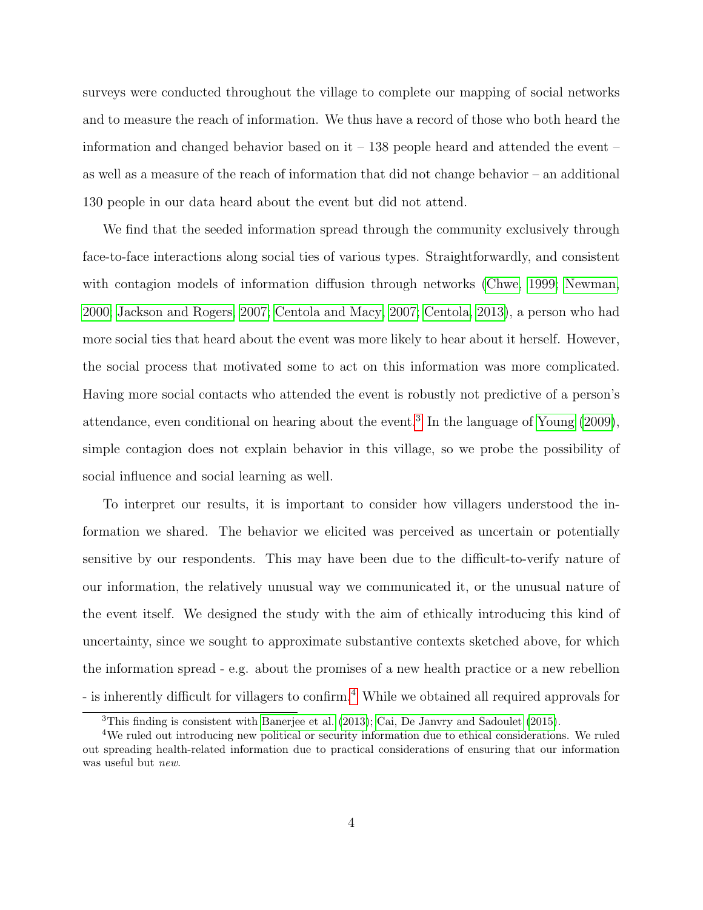surveys were conducted throughout the village to complete our mapping of social networks and to measure the reach of information. We thus have a record of those who both heard the information and changed behavior based on  $it - 138$  people heard and attended the event – as well as a measure of the reach of information that did not change behavior – an additional 130 people in our data heard about the event but did not attend.

We find that the seeded information spread through the community exclusively through face-to-face interactions along social ties of various types. Straightforwardly, and consistent with contagion models of information diffusion through networks [\(Chwe, 1999;](#page-35-5) [Newman,](#page-38-6) [2000;](#page-38-6) [Jackson and Rogers, 2007;](#page-37-6) [Centola and Macy, 2007;](#page-35-6) [Centola, 2013\)](#page-35-7), a person who had more social ties that heard about the event was more likely to hear about it herself. However, the social process that motivated some to act on this information was more complicated. Having more social contacts who attended the event is robustly not predictive of a person's attendance, even conditional on hearing about the event.<sup>[3](#page-3-0)</sup> In the language of [Young](#page-38-7)  $(2009)$ , simple contagion does not explain behavior in this village, so we probe the possibility of social influence and social learning as well.

To interpret our results, it is important to consider how villagers understood the information we shared. The behavior we elicited was perceived as uncertain or potentially sensitive by our respondents. This may have been due to the difficult-to-verify nature of our information, the relatively unusual way we communicated it, or the unusual nature of the event itself. We designed the study with the aim of ethically introducing this kind of uncertainty, since we sought to approximate substantive contexts sketched above, for which the information spread - e.g. about the promises of a new health practice or a new rebellion - is inherently difficult for villagers to confirm.[4](#page-3-1) While we obtained all required approvals for

<span id="page-3-1"></span><span id="page-3-0"></span> $3$ This finding is consistent with [Banerjee et al.](#page-34-0) [\(2013\)](#page-34-0); [Cai, De Janvry and Sadoulet](#page-34-5) [\(2015\)](#page-34-5).

<sup>4</sup>We ruled out introducing new political or security information due to ethical considerations. We ruled out spreading health-related information due to practical considerations of ensuring that our information was useful but new.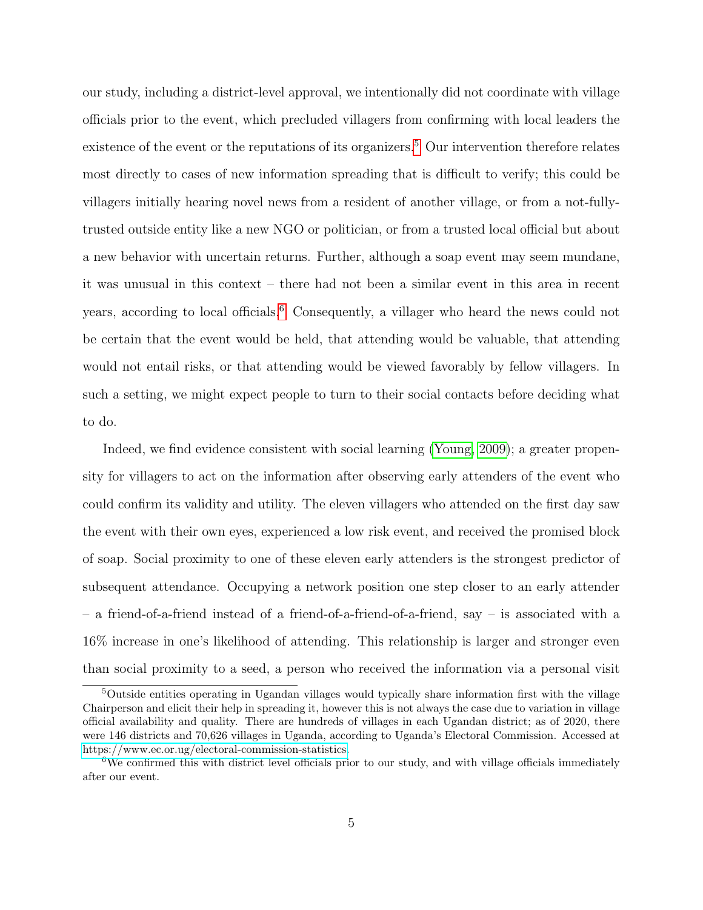our study, including a district-level approval, we intentionally did not coordinate with village officials prior to the event, which precluded villagers from confirming with local leaders the existence of the event or the reputations of its organizers.<sup>[5](#page-4-0)</sup> Our intervention therefore relates most directly to cases of new information spreading that is difficult to verify; this could be villagers initially hearing novel news from a resident of another village, or from a not-fullytrusted outside entity like a new NGO or politician, or from a trusted local official but about a new behavior with uncertain returns. Further, although a soap event may seem mundane, it was unusual in this context – there had not been a similar event in this area in recent years, according to local officials.<sup>[6](#page-4-1)</sup> Consequently, a villager who heard the news could not be certain that the event would be held, that attending would be valuable, that attending would not entail risks, or that attending would be viewed favorably by fellow villagers. In such a setting, we might expect people to turn to their social contacts before deciding what to do.

Indeed, we find evidence consistent with social learning [\(Young, 2009\)](#page-38-7); a greater propensity for villagers to act on the information after observing early attenders of the event who could confirm its validity and utility. The eleven villagers who attended on the first day saw the event with their own eyes, experienced a low risk event, and received the promised block of soap. Social proximity to one of these eleven early attenders is the strongest predictor of subsequent attendance. Occupying a network position one step closer to an early attender – a friend-of-a-friend instead of a friend-of-a-friend-of-a-friend, say – is associated with a 16% increase in one's likelihood of attending. This relationship is larger and stronger even than social proximity to a seed, a person who received the information via a personal visit

<span id="page-4-0"></span><sup>5</sup>Outside entities operating in Ugandan villages would typically share information first with the village Chairperson and elicit their help in spreading it, however this is not always the case due to variation in village official availability and quality. There are hundreds of villages in each Ugandan district; as of 2020, there were 146 districts and 70,626 villages in Uganda, according to Uganda's Electoral Commission. Accessed at [https://www.ec.or.ug/electoral-commission-statistics.](https://www.ec.or.ug/electoral-commission-statistics)

<span id="page-4-1"></span><sup>&</sup>lt;sup>6</sup>We confirmed this with district level officials prior to our study, and with village officials immediately after our event.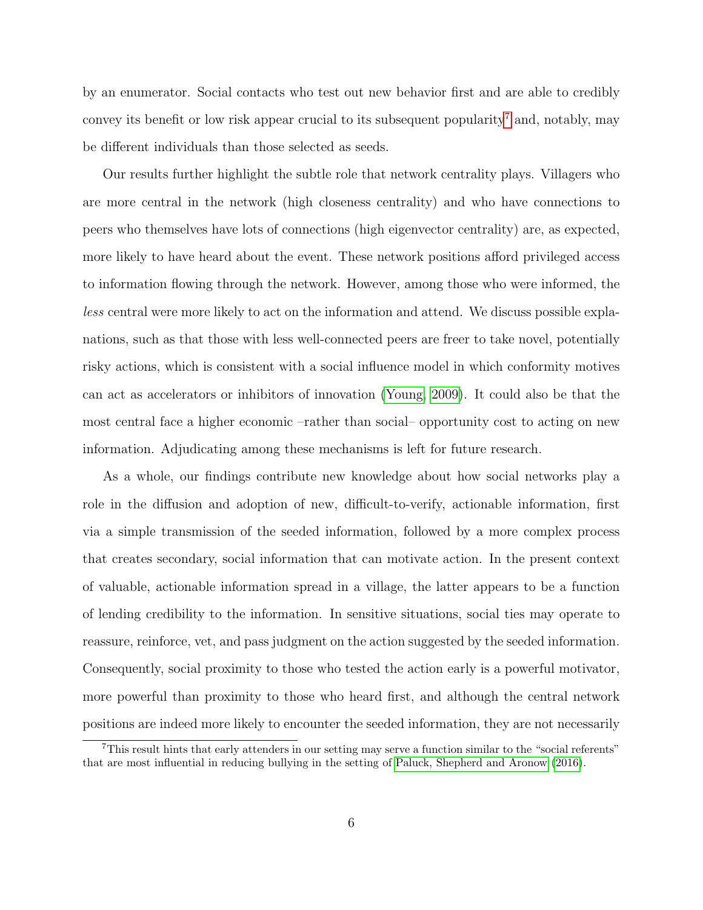by an enumerator. Social contacts who test out new behavior first and are able to credibly convey its benefit or low risk appear crucial to its subsequent popularity<sup>[7](#page-5-0)</sup> and, notably, may be different individuals than those selected as seeds.

Our results further highlight the subtle role that network centrality plays. Villagers who are more central in the network (high closeness centrality) and who have connections to peers who themselves have lots of connections (high eigenvector centrality) are, as expected, more likely to have heard about the event. These network positions afford privileged access to information flowing through the network. However, among those who were informed, the less central were more likely to act on the information and attend. We discuss possible explanations, such as that those with less well-connected peers are freer to take novel, potentially risky actions, which is consistent with a social influence model in which conformity motives can act as accelerators or inhibitors of innovation [\(Young, 2009\)](#page-38-7). It could also be that the most central face a higher economic –rather than social– opportunity cost to acting on new information. Adjudicating among these mechanisms is left for future research.

As a whole, our findings contribute new knowledge about how social networks play a role in the diffusion and adoption of new, difficult-to-verify, actionable information, first via a simple transmission of the seeded information, followed by a more complex process that creates secondary, social information that can motivate action. In the present context of valuable, actionable information spread in a village, the latter appears to be a function of lending credibility to the information. In sensitive situations, social ties may operate to reassure, reinforce, vet, and pass judgment on the action suggested by the seeded information. Consequently, social proximity to those who tested the action early is a powerful motivator, more powerful than proximity to those who heard first, and although the central network positions are indeed more likely to encounter the seeded information, they are not necessarily

<span id="page-5-0"></span><sup>7</sup>This result hints that early attenders in our setting may serve a function similar to the "social referents" that are most influential in reducing bullying in the setting of [Paluck, Shepherd and Aronow](#page-38-8) [\(2016\)](#page-38-8).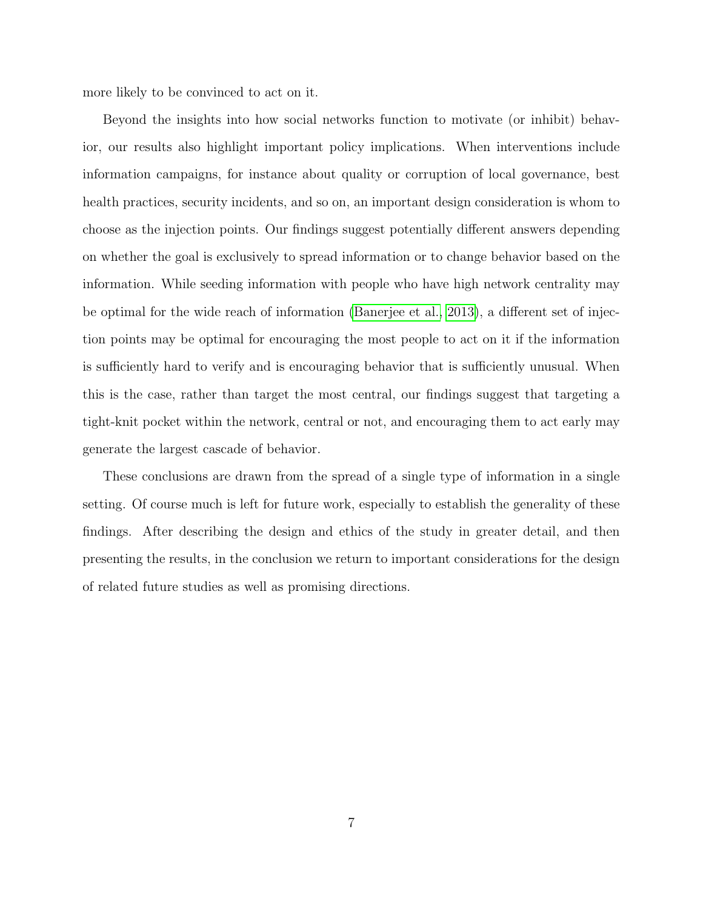more likely to be convinced to act on it.

Beyond the insights into how social networks function to motivate (or inhibit) behavior, our results also highlight important policy implications. When interventions include information campaigns, for instance about quality or corruption of local governance, best health practices, security incidents, and so on, an important design consideration is whom to choose as the injection points. Our findings suggest potentially different answers depending on whether the goal is exclusively to spread information or to change behavior based on the information. While seeding information with people who have high network centrality may be optimal for the wide reach of information [\(Banerjee et al., 2013\)](#page-34-0), a different set of injection points may be optimal for encouraging the most people to act on it if the information is sufficiently hard to verify and is encouraging behavior that is sufficiently unusual. When this is the case, rather than target the most central, our findings suggest that targeting a tight-knit pocket within the network, central or not, and encouraging them to act early may generate the largest cascade of behavior.

These conclusions are drawn from the spread of a single type of information in a single setting. Of course much is left for future work, especially to establish the generality of these findings. After describing the design and ethics of the study in greater detail, and then presenting the results, in the conclusion we return to important considerations for the design of related future studies as well as promising directions.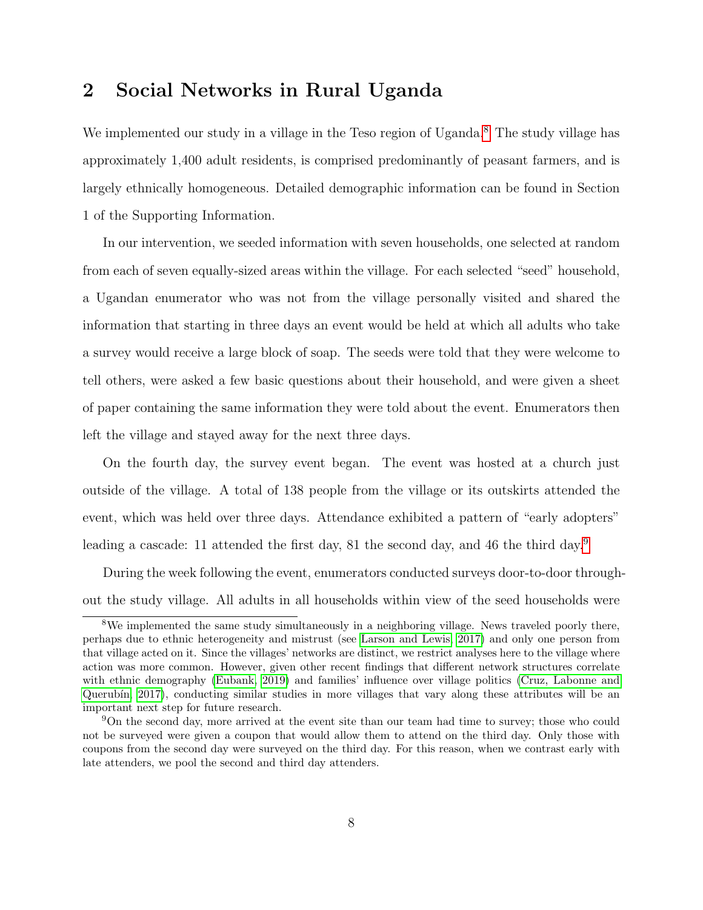## 2 Social Networks in Rural Uganda

We implemented our study in a village in the Teso region of Uganda.<sup>[8](#page-7-0)</sup> The study village has approximately 1,400 adult residents, is comprised predominantly of peasant farmers, and is largely ethnically homogeneous. Detailed demographic information can be found in Section 1 of the Supporting Information.

In our intervention, we seeded information with seven households, one selected at random from each of seven equally-sized areas within the village. For each selected "seed" household, a Ugandan enumerator who was not from the village personally visited and shared the information that starting in three days an event would be held at which all adults who take a survey would receive a large block of soap. The seeds were told that they were welcome to tell others, were asked a few basic questions about their household, and were given a sheet of paper containing the same information they were told about the event. Enumerators then left the village and stayed away for the next three days.

On the fourth day, the survey event began. The event was hosted at a church just outside of the village. A total of 138 people from the village or its outskirts attended the event, which was held over three days. Attendance exhibited a pattern of "early adopters" leading a cascade: 11 attended the first day, 81 the second day, and 46 the third day.<sup>[9](#page-7-1)</sup>

During the week following the event, enumerators conducted surveys door-to-door throughout the study village. All adults in all households within view of the seed households were

<span id="page-7-0"></span><sup>&</sup>lt;sup>8</sup>We implemented the same study simultaneously in a neighboring village. News traveled poorly there, perhaps due to ethnic heterogeneity and mistrust (see [Larson and Lewis, 2017\)](#page-37-5) and only one person from that village acted on it. Since the villages' networks are distinct, we restrict analyses here to the village where action was more common. However, given other recent findings that different network structures correlate with ethnic demography [\(Eubank, 2019\)](#page-36-5) and families' influence over village politics [\(Cruz, Labonne and](#page-35-8) Querubín, 2017), conducting similar studies in more villages that vary along these attributes will be an important next step for future research.

<span id="page-7-1"></span><sup>9</sup>On the second day, more arrived at the event site than our team had time to survey; those who could not be surveyed were given a coupon that would allow them to attend on the third day. Only those with coupons from the second day were surveyed on the third day. For this reason, when we contrast early with late attenders, we pool the second and third day attenders.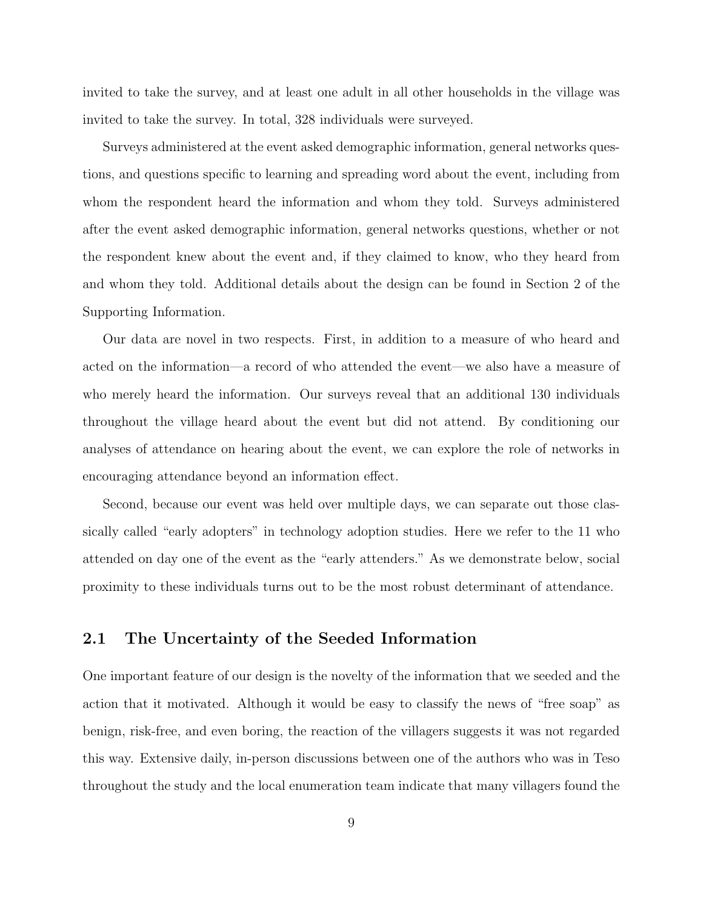invited to take the survey, and at least one adult in all other households in the village was invited to take the survey. In total, 328 individuals were surveyed.

Surveys administered at the event asked demographic information, general networks questions, and questions specific to learning and spreading word about the event, including from whom the respondent heard the information and whom they told. Surveys administered after the event asked demographic information, general networks questions, whether or not the respondent knew about the event and, if they claimed to know, who they heard from and whom they told. Additional details about the design can be found in Section 2 of the Supporting Information.

Our data are novel in two respects. First, in addition to a measure of who heard and acted on the information—a record of who attended the event—we also have a measure of who merely heard the information. Our surveys reveal that an additional 130 individuals throughout the village heard about the event but did not attend. By conditioning our analyses of attendance on hearing about the event, we can explore the role of networks in encouraging attendance beyond an information effect.

Second, because our event was held over multiple days, we can separate out those classically called "early adopters" in technology adoption studies. Here we refer to the 11 who attended on day one of the event as the "early attenders." As we demonstrate below, social proximity to these individuals turns out to be the most robust determinant of attendance.

#### 2.1 The Uncertainty of the Seeded Information

One important feature of our design is the novelty of the information that we seeded and the action that it motivated. Although it would be easy to classify the news of "free soap" as benign, risk-free, and even boring, the reaction of the villagers suggests it was not regarded this way. Extensive daily, in-person discussions between one of the authors who was in Teso throughout the study and the local enumeration team indicate that many villagers found the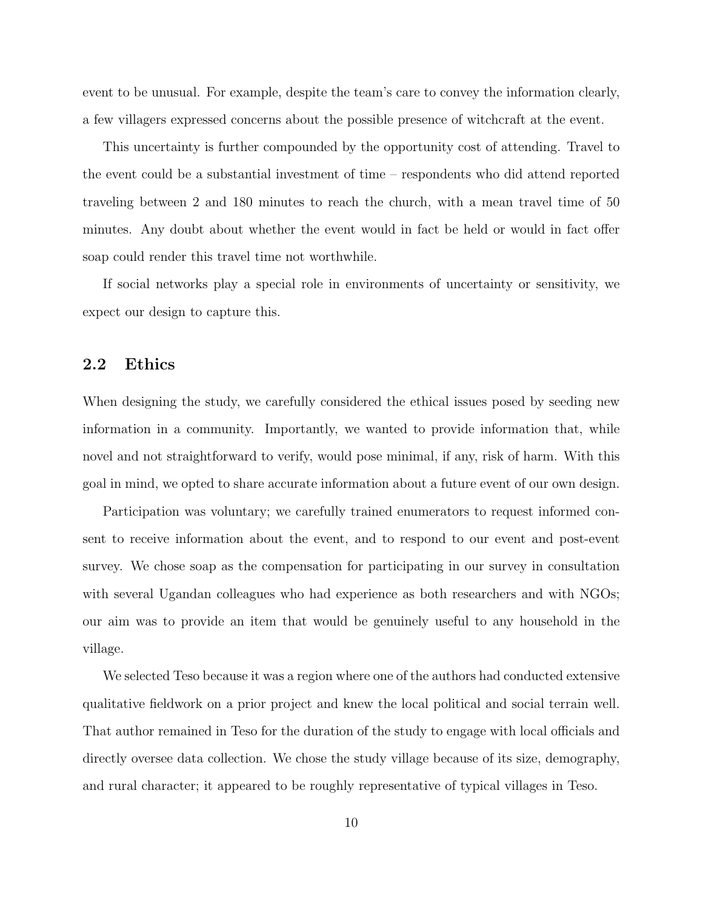event to be unusual. For example, despite the team's care to convey the information clearly, a few villagers expressed concerns about the possible presence of witchcraft at the event.

This uncertainty is further compounded by the opportunity cost of attending. Travel to the event could be a substantial investment of time – respondents who did attend reported traveling between 2 and 180 minutes to reach the church, with a mean travel time of 50 minutes. Any doubt about whether the event would in fact be held or would in fact offer soap could render this travel time not worthwhile.

If social networks play a special role in environments of uncertainty or sensitivity, we expect our design to capture this.

#### 2.2 Ethics

When designing the study, we carefully considered the ethical issues posed by seeding new information in a community. Importantly, we wanted to provide information that, while novel and not straightforward to verify, would pose minimal, if any, risk of harm. With this goal in mind, we opted to share accurate information about a future event of our own design.

Participation was voluntary; we carefully trained enumerators to request informed consent to receive information about the event, and to respond to our event and post-event survey. We chose soap as the compensation for participating in our survey in consultation with several Ugandan colleagues who had experience as both researchers and with NGOs; our aim was to provide an item that would be genuinely useful to any household in the village.

We selected Teso because it was a region where one of the authors had conducted extensive qualitative fieldwork on a prior project and knew the local political and social terrain well. That author remained in Teso for the duration of the study to engage with local officials and directly oversee data collection. We chose the study village because of its size, demography, and rural character; it appeared to be roughly representative of typical villages in Teso.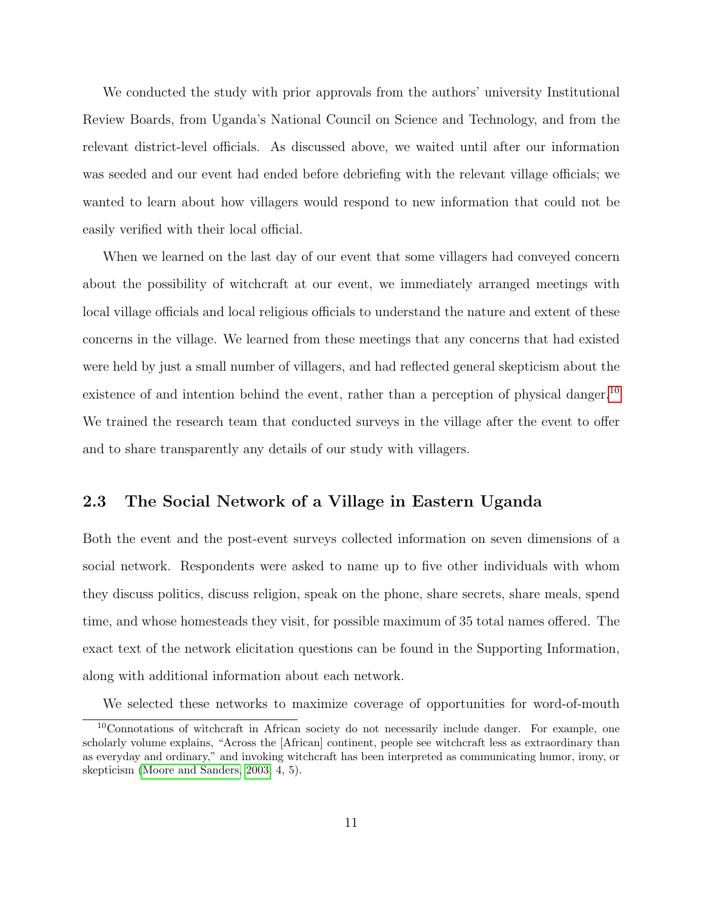We conducted the study with prior approvals from the authors' university Institutional Review Boards, from Uganda's National Council on Science and Technology, and from the relevant district-level officials. As discussed above, we waited until after our information was seeded and our event had ended before debriefing with the relevant village officials; we wanted to learn about how villagers would respond to new information that could not be easily verified with their local official.

When we learned on the last day of our event that some villagers had conveyed concern about the possibility of witchcraft at our event, we immediately arranged meetings with local village officials and local religious officials to understand the nature and extent of these concerns in the village. We learned from these meetings that any concerns that had existed were held by just a small number of villagers, and had reflected general skepticism about the existence of and intention behind the event, rather than a perception of physical danger.<sup>[10](#page-10-0)</sup> We trained the research team that conducted surveys in the village after the event to offer and to share transparently any details of our study with villagers.

#### 2.3 The Social Network of a Village in Eastern Uganda

Both the event and the post-event surveys collected information on seven dimensions of a social network. Respondents were asked to name up to five other individuals with whom they discuss politics, discuss religion, speak on the phone, share secrets, share meals, spend time, and whose homesteads they visit, for possible maximum of 35 total names offered. The exact text of the network elicitation questions can be found in the Supporting Information, along with additional information about each network.

<span id="page-10-0"></span>We selected these networks to maximize coverage of opportunities for word-of-mouth

 $10$ Connotations of witchcraft in African society do not necessarily include danger. For example, one scholarly volume explains, "Across the [African] continent, people see witchcraft less as extraordinary than as everyday and ordinary," and invoking witchcraft has been interpreted as communicating humor, irony, or skepticism [\(Moore and Sanders, 2003,](#page-38-9) 4, 5).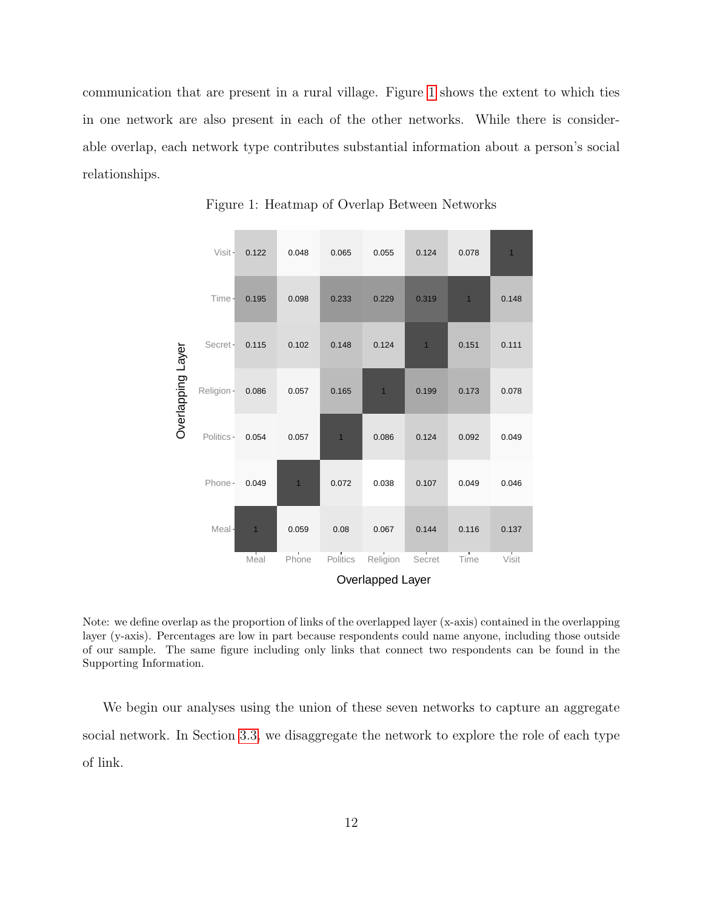communication that are present in a rural village. Figure [1](#page-11-0) shows the extent to which ties in one network are also present in each of the other networks. While there is considerable overlap, each network type contributes substantial information about a person's social relationships.

<span id="page-11-0"></span>

|                   |                  | Visit- 0.122               | 0.048          | 0.065          | 0.055          | 0.124                | 0.078          | $\overline{1}$      |
|-------------------|------------------|----------------------------|----------------|----------------|----------------|----------------------|----------------|---------------------|
| Overlapping Layer | Time-            | 0.195                      | 0.098          | 0.233          | 0.229          | 0.319                | $\overline{1}$ | 0.148               |
|                   | Secret- 0.115    |                            | 0.102          | 0.148          | 0.124          | $\blacktriangleleft$ | 0.151          | 0.111               |
|                   | Religion - 0.086 |                            | 0.057          | 0.165          | $\overline{1}$ | 0.199                | 0.173          | 0.078               |
|                   | Politics-        | 0.054                      | 0.057          | $\overline{1}$ | 0.086          | 0.124                | 0.092          | 0.049               |
|                   | Phone - 0.049    |                            | $\overline{1}$ | 0.072          | 0.038          | 0.107                | 0.049          | 0.046               |
|                   | Meal-            | $\overline{\phantom{0}}$ 1 | 0.059          | 0.08           | 0.067          | 0.144                | 0.116          | 0.137               |
|                   |                  | Meal                       | Phone          | Politics       | Religion       | Secret               | Time           | $\overline{V}$ isit |
|                   | Overlapped Layer |                            |                |                |                |                      |                |                     |

Figure 1: Heatmap of Overlap Between Networks

Note: we define overlap as the proportion of links of the overlapped layer (x-axis) contained in the overlapping layer (y-axis). Percentages are low in part because respondents could name anyone, including those outside of our sample. The same figure including only links that connect two respondents can be found in the Supporting Information.

We begin our analyses using the union of these seven networks to capture an aggregate social network. In Section [3.3,](#page-23-0) we disaggregate the network to explore the role of each type of link.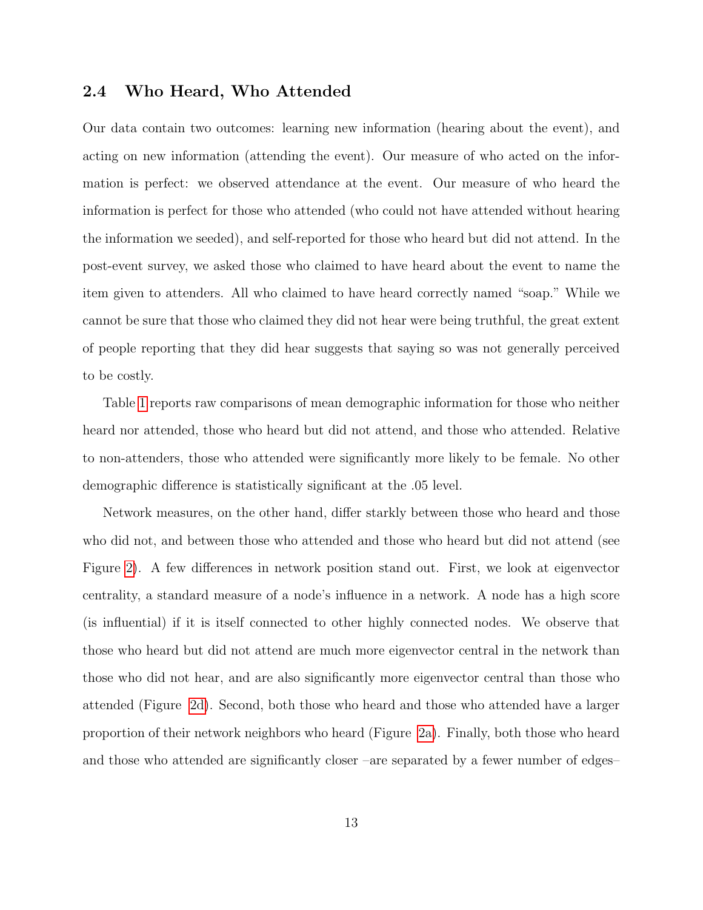#### 2.4 Who Heard, Who Attended

Our data contain two outcomes: learning new information (hearing about the event), and acting on new information (attending the event). Our measure of who acted on the information is perfect: we observed attendance at the event. Our measure of who heard the information is perfect for those who attended (who could not have attended without hearing the information we seeded), and self-reported for those who heard but did not attend. In the post-event survey, we asked those who claimed to have heard about the event to name the item given to attenders. All who claimed to have heard correctly named "soap." While we cannot be sure that those who claimed they did not hear were being truthful, the great extent of people reporting that they did hear suggests that saying so was not generally perceived to be costly.

Table [1](#page-13-0) reports raw comparisons of mean demographic information for those who neither heard nor attended, those who heard but did not attend, and those who attended. Relative to non-attenders, those who attended were significantly more likely to be female. No other demographic difference is statistically significant at the .05 level.

Network measures, on the other hand, differ starkly between those who heard and those who did not, and between those who attended and those who heard but did not attend (see Figure [2\)](#page-14-0). A few differences in network position stand out. First, we look at eigenvector centrality, a standard measure of a node's influence in a network. A node has a high score (is influential) if it is itself connected to other highly connected nodes. We observe that those who heard but did not attend are much more eigenvector central in the network than those who did not hear, and are also significantly more eigenvector central than those who attended (Figure [2d\)](#page-14-0). Second, both those who heard and those who attended have a larger proportion of their network neighbors who heard (Figure [2a\)](#page-14-0). Finally, both those who heard and those who attended are significantly closer –are separated by a fewer number of edges–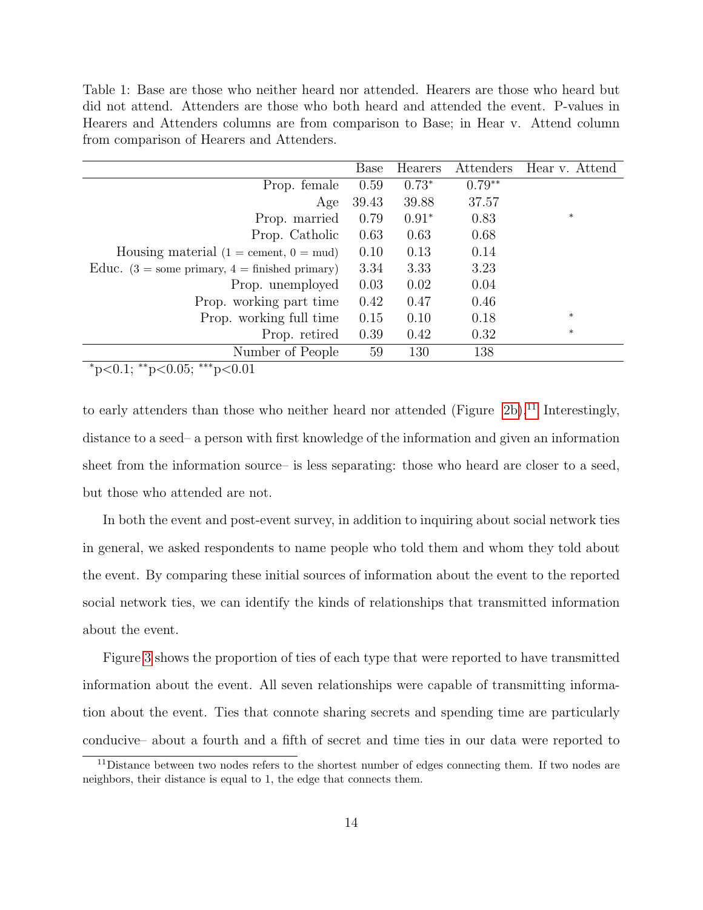Table 1: Base are those who neither heard nor attended. Hearers are those who heard but did not attend. Attenders are those who both heard and attended the event. P-values in Hearers and Attenders columns are from comparison to Base; in Hear v. Attend column from comparison of Hearers and Attenders.

<span id="page-13-0"></span>

|                                                        | Base  | Hearers | Attenders | Hear v. Attend |
|--------------------------------------------------------|-------|---------|-----------|----------------|
| Prop. female                                           | 0.59  | $0.73*$ | $0.79**$  |                |
| Age                                                    | 39.43 | 39.88   | 37.57     |                |
| Prop. married                                          | 0.79  | $0.91*$ | 0.83      | $\ast$         |
| Prop. Catholic                                         | 0.63  | 0.63    | 0.68      |                |
| Housing material $(1 = \text{cement}, 0 = \text{mud})$ | 0.10  | 0.13    | 0.14      |                |
| Educ. $(3 =$ some primary, $4 =$ finished primary)     | 3.34  | 3.33    | 3.23      |                |
| Prop. unemployed                                       | 0.03  | 0.02    | 0.04      |                |
| Prop. working part time                                | 0.42  | 0.47    | 0.46      |                |
| Prop. working full time                                | 0.15  | 0.10    | 0.18      | $\ast$         |
| Prop. retired                                          | 0.39  | 0.42    | 0.32      | $\ast$         |
| Number of People                                       | 59    | 130     | 138       |                |
| $*$ $\sim$ 0.1 $**$ $\sim$ 0.0 $*$ $**$ $\sim$ 0.01    |       |         |           |                |

<sup>∗</sup>p<0.1; ∗∗p<0.05; ∗∗∗p<0.01

to early attenders than those who neither heard nor attended (Figure [2b\)](#page-14-0).<sup>[11](#page-13-1)</sup> Interestingly, distance to a seed– a person with first knowledge of the information and given an information sheet from the information source– is less separating: those who heard are closer to a seed, but those who attended are not.

In both the event and post-event survey, in addition to inquiring about social network ties in general, we asked respondents to name people who told them and whom they told about the event. By comparing these initial sources of information about the event to the reported social network ties, we can identify the kinds of relationships that transmitted information about the event.

Figure [3](#page-15-0) shows the proportion of ties of each type that were reported to have transmitted information about the event. All seven relationships were capable of transmitting information about the event. Ties that connote sharing secrets and spending time are particularly conducive– about a fourth and a fifth of secret and time ties in our data were reported to

<span id="page-13-1"></span> $11$ Distance between two nodes refers to the shortest number of edges connecting them. If two nodes are neighbors, their distance is equal to 1, the edge that connects them.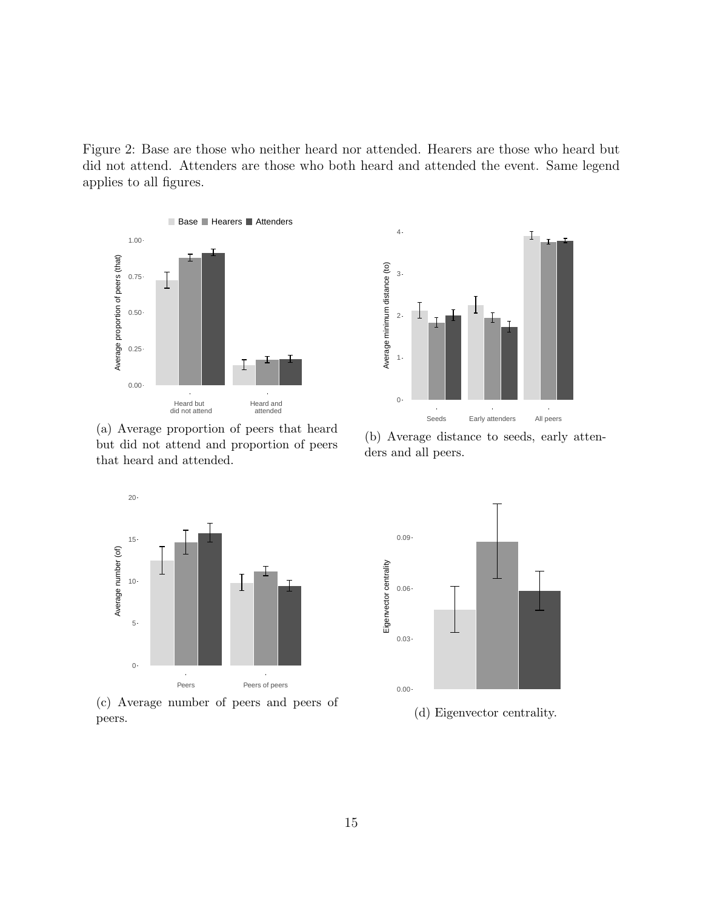Figure 2: Base are those who neither heard nor attended. Hearers are those who heard but did not attend. Attenders are those who both heard and attended the event. Same legend applies to all figures.

<span id="page-14-0"></span>

4 Average minimum distance (to) Average minimum distance (to) 3 2 1  $0$ l, Seeds Early attenders All peers

(a) Average proportion of peers that heard but did not attend and proportion of peers that heard and attended.

(b) Average distance to seeds, early attenders and all peers.



(c) Average number of peers and peers of peers.



(d) Eigenvector centrality.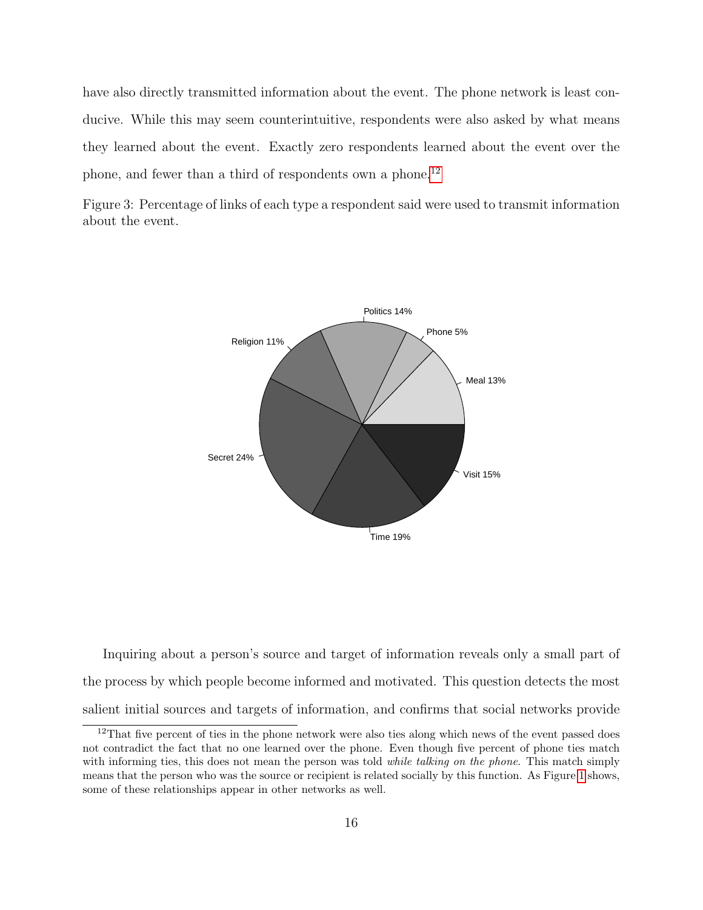have also directly transmitted information about the event. The phone network is least conducive. While this may seem counterintuitive, respondents were also asked by what means they learned about the event. Exactly zero respondents learned about the event over the phone, and fewer than a third of respondents own a phone.[12](#page-15-1)

<span id="page-15-0"></span>Figure 3: Percentage of links of each type a respondent said were used to transmit information about the event.



Inquiring about a person's source and target of information reveals only a small part of the process by which people become informed and motivated. This question detects the most salient initial sources and targets of information, and confirms that social networks provide

<span id="page-15-1"></span> $12$ That five percent of ties in the phone network were also ties along which news of the event passed does not contradict the fact that no one learned over the phone. Even though five percent of phone ties match with informing ties, this does not mean the person was told *while talking on the phone*. This match simply means that the person who was the source or recipient is related socially by this function. As Figure [1](#page-11-0) shows, some of these relationships appear in other networks as well.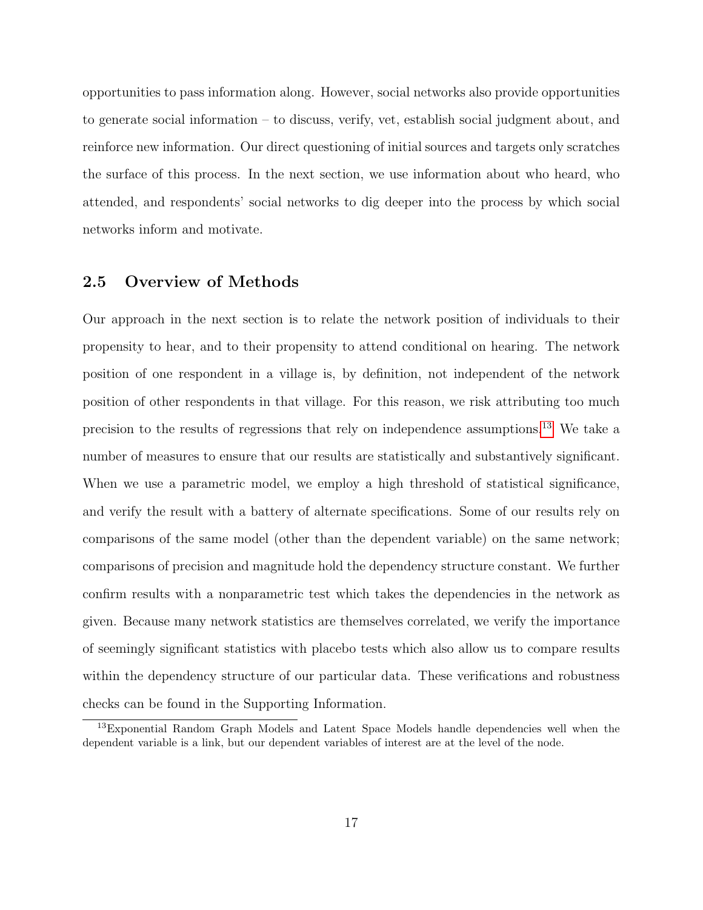opportunities to pass information along. However, social networks also provide opportunities to generate social information – to discuss, verify, vet, establish social judgment about, and reinforce new information. Our direct questioning of initial sources and targets only scratches the surface of this process. In the next section, we use information about who heard, who attended, and respondents' social networks to dig deeper into the process by which social networks inform and motivate.

#### 2.5 Overview of Methods

Our approach in the next section is to relate the network position of individuals to their propensity to hear, and to their propensity to attend conditional on hearing. The network position of one respondent in a village is, by definition, not independent of the network position of other respondents in that village. For this reason, we risk attributing too much precision to the results of regressions that rely on independence assumptions.[13](#page-16-0) We take a number of measures to ensure that our results are statistically and substantively significant. When we use a parametric model, we employ a high threshold of statistical significance, and verify the result with a battery of alternate specifications. Some of our results rely on comparisons of the same model (other than the dependent variable) on the same network; comparisons of precision and magnitude hold the dependency structure constant. We further confirm results with a nonparametric test which takes the dependencies in the network as given. Because many network statistics are themselves correlated, we verify the importance of seemingly significant statistics with placebo tests which also allow us to compare results within the dependency structure of our particular data. These verifications and robustness checks can be found in the Supporting Information.

<span id="page-16-0"></span><sup>&</sup>lt;sup>13</sup>Exponential Random Graph Models and Latent Space Models handle dependencies well when the dependent variable is a link, but our dependent variables of interest are at the level of the node.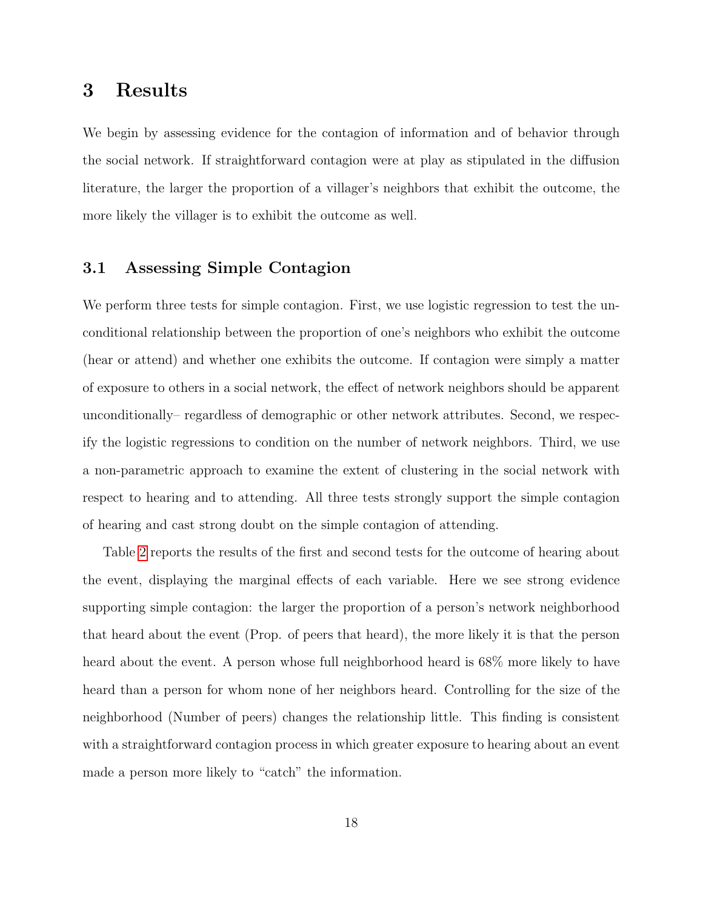## 3 Results

We begin by assessing evidence for the contagion of information and of behavior through the social network. If straightforward contagion were at play as stipulated in the diffusion literature, the larger the proportion of a villager's neighbors that exhibit the outcome, the more likely the villager is to exhibit the outcome as well.

#### 3.1 Assessing Simple Contagion

We perform three tests for simple contagion. First, we use logistic regression to test the unconditional relationship between the proportion of one's neighbors who exhibit the outcome (hear or attend) and whether one exhibits the outcome. If contagion were simply a matter of exposure to others in a social network, the effect of network neighbors should be apparent unconditionally– regardless of demographic or other network attributes. Second, we respecify the logistic regressions to condition on the number of network neighbors. Third, we use a non-parametric approach to examine the extent of clustering in the social network with respect to hearing and to attending. All three tests strongly support the simple contagion of hearing and cast strong doubt on the simple contagion of attending.

Table [2](#page-18-0) reports the results of the first and second tests for the outcome of hearing about the event, displaying the marginal effects of each variable. Here we see strong evidence supporting simple contagion: the larger the proportion of a person's network neighborhood that heard about the event (Prop. of peers that heard), the more likely it is that the person heard about the event. A person whose full neighborhood heard is  $68\%$  more likely to have heard than a person for whom none of her neighbors heard. Controlling for the size of the neighborhood (Number of peers) changes the relationship little. This finding is consistent with a straightforward contagion process in which greater exposure to hearing about an event made a person more likely to "catch" the information.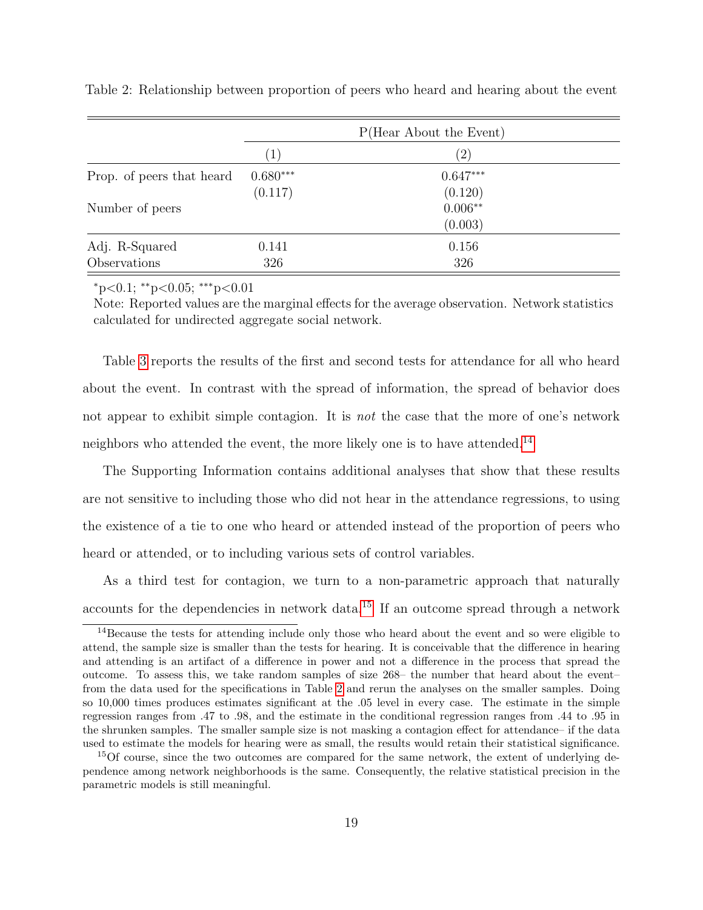<span id="page-18-0"></span>

|                           |            | P(Hear About the Event) |
|---------------------------|------------|-------------------------|
|                           | (1)        | $\left( 2\right)$       |
| Prop. of peers that heard | $0.680***$ | $0.647***$              |
|                           | (0.117)    | (0.120)                 |
| Number of peers           |            | $0.006**$               |
|                           |            | (0.003)                 |
| Adj. R-Squared            | 0.141      | 0.156                   |
| Observations              | 326        | 326                     |

Table 2: Relationship between proportion of peers who heard and hearing about the event

 $*_{\text{p}<0.1}$ ;  $*_{\text{p}<0.05}$ ;  $*_{\text{p}<0.01}$ 

Note: Reported values are the marginal effects for the average observation. Network statistics calculated for undirected aggregate social network.

Table [3](#page-19-0) reports the results of the first and second tests for attendance for all who heard about the event. In contrast with the spread of information, the spread of behavior does not appear to exhibit simple contagion. It is *not* the case that the more of one's network neighbors who attended the event, the more likely one is to have attended.<sup>[14](#page-18-1)</sup>

The Supporting Information contains additional analyses that show that these results are not sensitive to including those who did not hear in the attendance regressions, to using the existence of a tie to one who heard or attended instead of the proportion of peers who heard or attended, or to including various sets of control variables.

As a third test for contagion, we turn to a non-parametric approach that naturally accounts for the dependencies in network data.[15](#page-18-2) If an outcome spread through a network

<span id="page-18-1"></span><sup>&</sup>lt;sup>14</sup>Because the tests for attending include only those who heard about the event and so were eligible to attend, the sample size is smaller than the tests for hearing. It is conceivable that the difference in hearing and attending is an artifact of a difference in power and not a difference in the process that spread the outcome. To assess this, we take random samples of size 268– the number that heard about the event– from the data used for the specifications in Table [2](#page-18-0) and rerun the analyses on the smaller samples. Doing so 10,000 times produces estimates significant at the .05 level in every case. The estimate in the simple regression ranges from .47 to .98, and the estimate in the conditional regression ranges from .44 to .95 in the shrunken samples. The smaller sample size is not masking a contagion effect for attendance– if the data used to estimate the models for hearing were as small, the results would retain their statistical significance.

<span id="page-18-2"></span><sup>&</sup>lt;sup>15</sup>Of course, since the two outcomes are compared for the same network, the extent of underlying dependence among network neighborhoods is the same. Consequently, the relative statistical precision in the parametric models is still meaningful.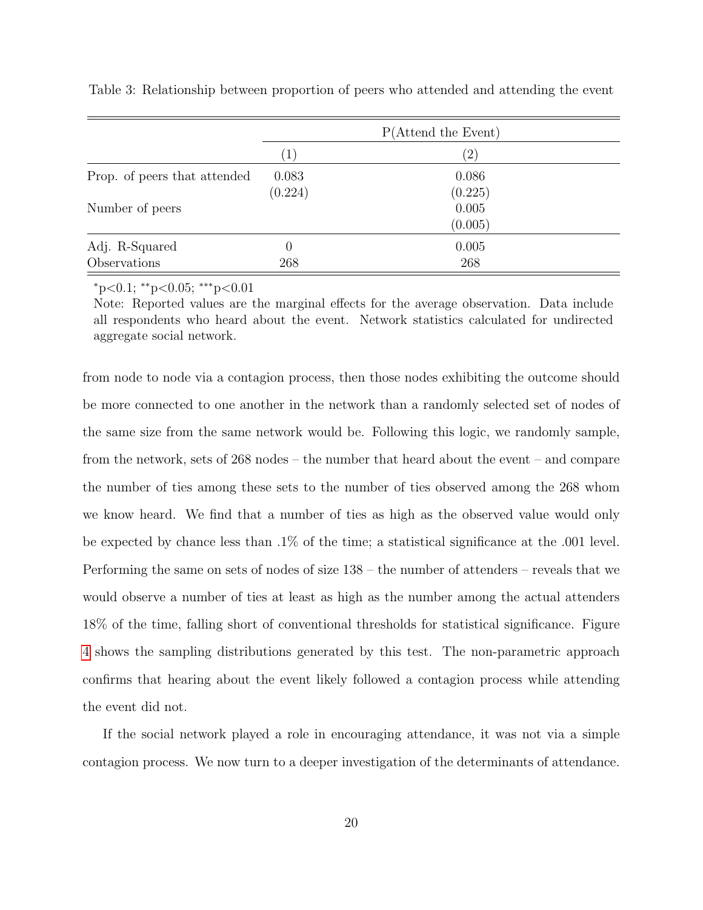<span id="page-19-0"></span>

|                              |                  | $P($ Attend the Event $)$ |
|------------------------------|------------------|---------------------------|
|                              | $\left(1\right)$ | $\left( 2\right)$         |
| Prop. of peers that attended | 0.083            | 0.086                     |
|                              | (0.224)          | (0.225)                   |
| Number of peers              |                  | 0.005                     |
|                              |                  | (0.005)                   |
| Adj. R-Squared               | 0                | 0.005                     |
| Observations                 | 268              | 268                       |

Table 3: Relationship between proportion of peers who attended and attending the event

 $*p<0.1$ ;  $*p<0.05$ ;  $**p<0.01$ 

Note: Reported values are the marginal effects for the average observation. Data include all respondents who heard about the event. Network statistics calculated for undirected aggregate social network.

from node to node via a contagion process, then those nodes exhibiting the outcome should be more connected to one another in the network than a randomly selected set of nodes of the same size from the same network would be. Following this logic, we randomly sample, from the network, sets of 268 nodes – the number that heard about the event – and compare the number of ties among these sets to the number of ties observed among the 268 whom we know heard. We find that a number of ties as high as the observed value would only be expected by chance less than .1% of the time; a statistical significance at the .001 level. Performing the same on sets of nodes of size 138 – the number of attenders – reveals that we would observe a number of ties at least as high as the number among the actual attenders 18% of the time, falling short of conventional thresholds for statistical significance. Figure [4](#page-20-0) shows the sampling distributions generated by this test. The non-parametric approach confirms that hearing about the event likely followed a contagion process while attending the event did not.

If the social network played a role in encouraging attendance, it was not via a simple contagion process. We now turn to a deeper investigation of the determinants of attendance.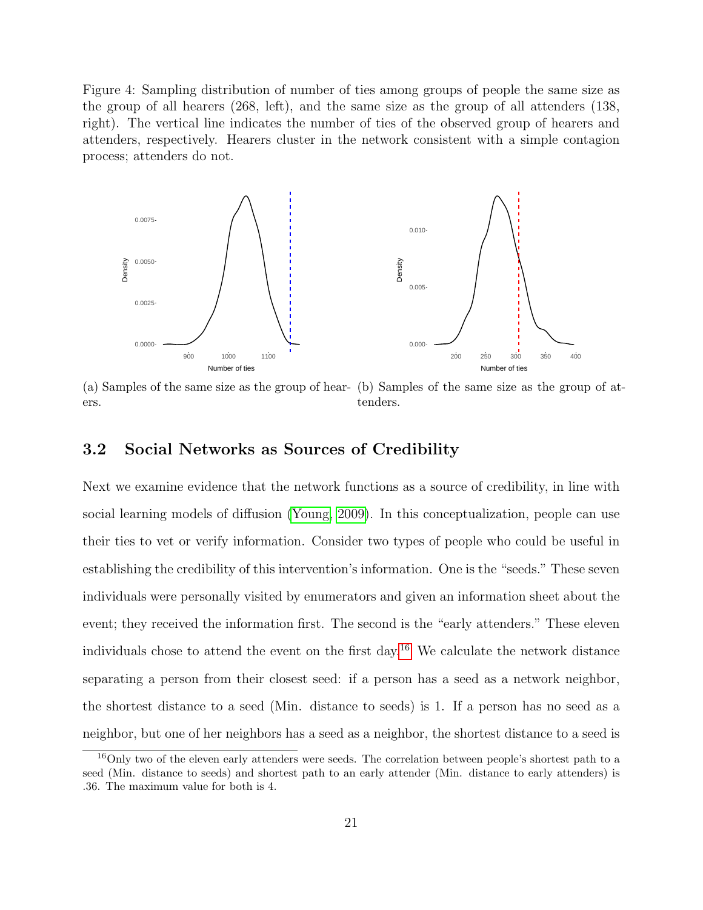Figure 4: Sampling distribution of number of ties among groups of people the same size as the group of all hearers (268, left), and the same size as the group of all attenders (138, right). The vertical line indicates the number of ties of the observed group of hearers and attenders, respectively. Hearers cluster in the network consistent with a simple contagion process; attenders do not.

<span id="page-20-0"></span>

(a) Samples of the same size as the group of hear-(b) Samples of the same size as the group of aters. tenders.

#### 3.2 Social Networks as Sources of Credibility

Next we examine evidence that the network functions as a source of credibility, in line with social learning models of diffusion [\(Young, 2009\)](#page-38-7). In this conceptualization, people can use their ties to vet or verify information. Consider two types of people who could be useful in establishing the credibility of this intervention's information. One is the "seeds." These seven individuals were personally visited by enumerators and given an information sheet about the event; they received the information first. The second is the "early attenders." These eleven individuals chose to attend the event on the first day.[16](#page-20-1) We calculate the network distance separating a person from their closest seed: if a person has a seed as a network neighbor, the shortest distance to a seed (Min. distance to seeds) is 1. If a person has no seed as a neighbor, but one of her neighbors has a seed as a neighbor, the shortest distance to a seed is

<span id="page-20-1"></span><sup>16</sup>Only two of the eleven early attenders were seeds. The correlation between people's shortest path to a seed (Min. distance to seeds) and shortest path to an early attender (Min. distance to early attenders) is .36. The maximum value for both is 4.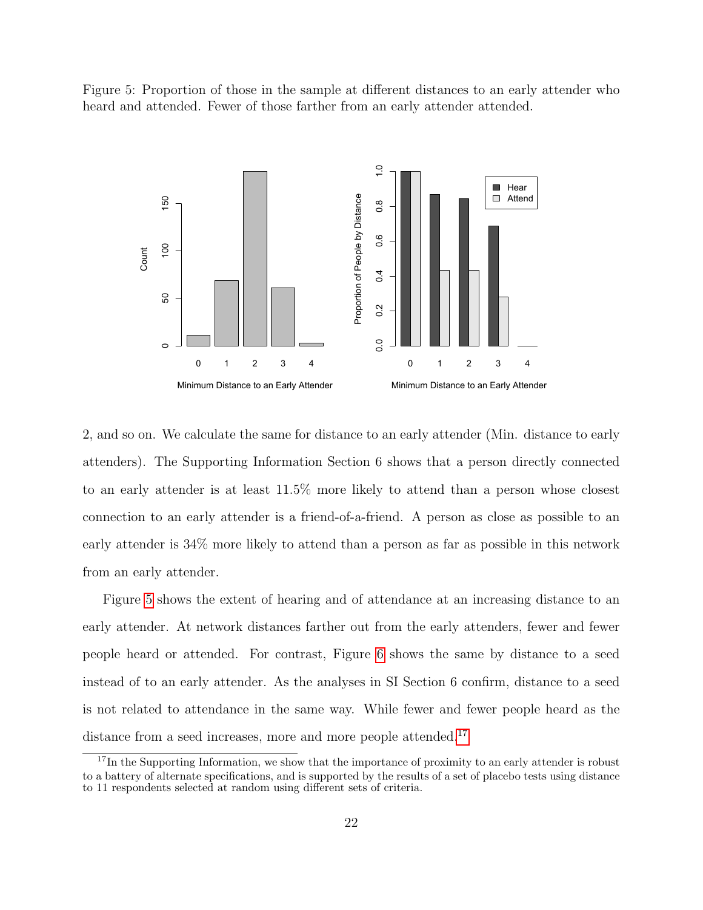<span id="page-21-0"></span>Figure 5: Proportion of those in the sample at different distances to an early attender who heard and attended. Fewer of those farther from an early attender attended.



2, and so on. We calculate the same for distance to an early attender (Min. distance to early attenders). The Supporting Information Section 6 shows that a person directly connected to an early attender is at least 11.5% more likely to attend than a person whose closest connection to an early attender is a friend-of-a-friend. A person as close as possible to an early attender is 34% more likely to attend than a person as far as possible in this network from an early attender.

Figure [5](#page-21-0) shows the extent of hearing and of attendance at an increasing distance to an early attender. At network distances farther out from the early attenders, fewer and fewer people heard or attended. For contrast, Figure [6](#page-22-0) shows the same by distance to a seed instead of to an early attender. As the analyses in SI Section 6 confirm, distance to a seed is not related to attendance in the same way. While fewer and fewer people heard as the distance from a seed increases, more and more people attended.<sup>[17](#page-21-1)</sup>

<span id="page-21-1"></span><sup>&</sup>lt;sup>17</sup>In the Supporting Information, we show that the importance of proximity to an early attender is robust to a battery of alternate specifications, and is supported by the results of a set of placebo tests using distance to 11 respondents selected at random using different sets of criteria.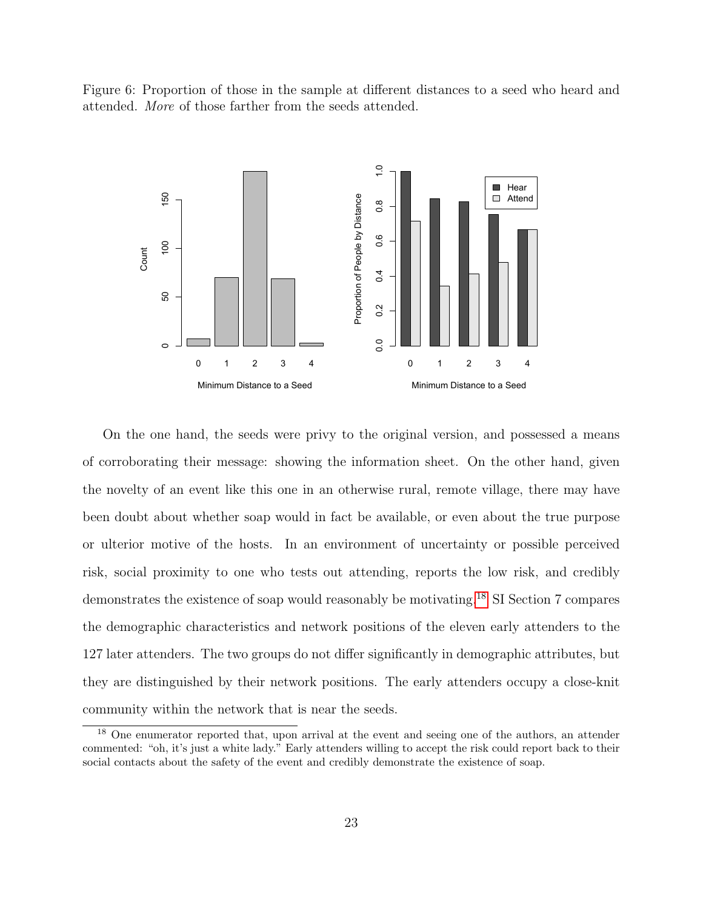<span id="page-22-0"></span>Figure 6: Proportion of those in the sample at different distances to a seed who heard and attended. More of those farther from the seeds attended.



On the one hand, the seeds were privy to the original version, and possessed a means of corroborating their message: showing the information sheet. On the other hand, given the novelty of an event like this one in an otherwise rural, remote village, there may have been doubt about whether soap would in fact be available, or even about the true purpose or ulterior motive of the hosts. In an environment of uncertainty or possible perceived risk, social proximity to one who tests out attending, reports the low risk, and credibly demonstrates the existence of soap would reasonably be motivating.[18](#page-22-1) SI Section 7 compares the demographic characteristics and network positions of the eleven early attenders to the 127 later attenders. The two groups do not differ significantly in demographic attributes, but they are distinguished by their network positions. The early attenders occupy a close-knit community within the network that is near the seeds.

<span id="page-22-1"></span><sup>&</sup>lt;sup>18</sup> One enumerator reported that, upon arrival at the event and seeing one of the authors, an attender commented: "oh, it's just a white lady." Early attenders willing to accept the risk could report back to their social contacts about the safety of the event and credibly demonstrate the existence of soap.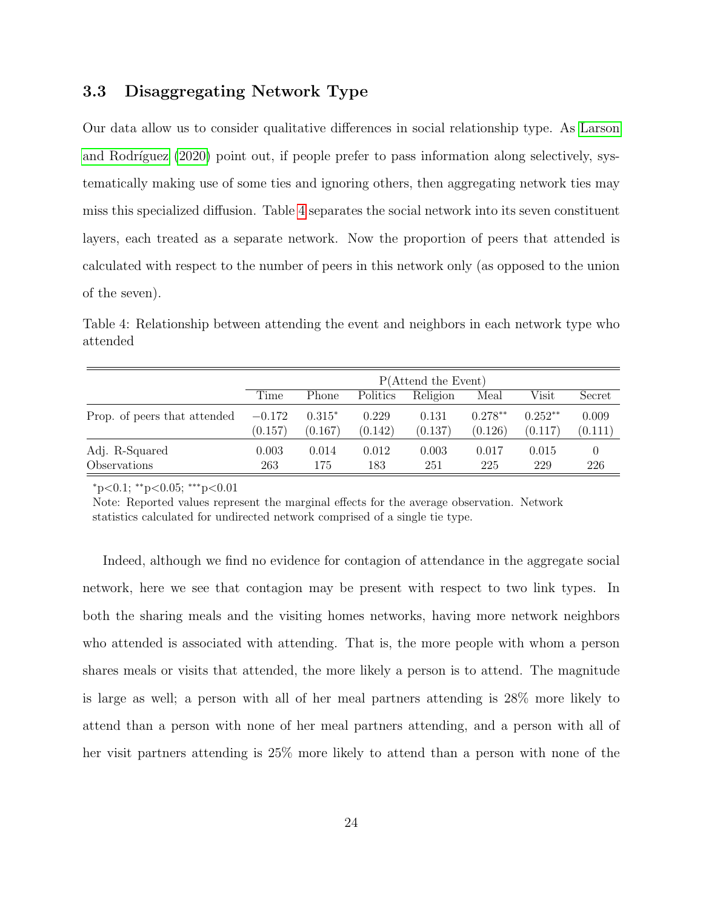#### <span id="page-23-0"></span>3.3 Disaggregating Network Type

Our data allow us to consider qualitative differences in social relationship type. As [Larson](#page-37-7) and Rodríguez  $(2020)$  point out, if people prefer to pass information along selectively, systematically making use of some ties and ignoring others, then aggregating network ties may miss this specialized diffusion. Table [4](#page-23-1) separates the social network into its seven constituent layers, each treated as a separate network. Now the proportion of peers that attended is calculated with respect to the number of peers in this network only (as opposed to the union of the seven).

Table 4: Relationship between attending the event and neighbors in each network type who attended

<span id="page-23-1"></span>

|                              | P(Attend the Event) |          |          |          |           |           |         |
|------------------------------|---------------------|----------|----------|----------|-----------|-----------|---------|
|                              | Time                | Phone    | Politics | Religion | Meal      | Visit     | Secret  |
| Prop. of peers that attended | $-0.172$            | $0.315*$ | 0.229    | 0.131    | $0.278**$ | $0.252**$ | 0.009   |
|                              | (0.157)             | (0.167)  | (0.142)  | (0.137)  | (0.126)   | (0.117)   | (0.111) |
| Adj. R-Squared               | 0.003               | 0.014    | 0.012    | 0.003    | 0.017     | 0.015     | 226     |
| <i>Observations</i>          | 263                 | 175      | 183      | 251      | 225       | 229       |         |

 $*p<0.1$ ; \*\*p<0.05; \*\*\*p<0.01

Note: Reported values represent the marginal effects for the average observation. Network statistics calculated for undirected network comprised of a single tie type.

Indeed, although we find no evidence for contagion of attendance in the aggregate social network, here we see that contagion may be present with respect to two link types. In both the sharing meals and the visiting homes networks, having more network neighbors who attended is associated with attending. That is, the more people with whom a person shares meals or visits that attended, the more likely a person is to attend. The magnitude is large as well; a person with all of her meal partners attending is 28% more likely to attend than a person with none of her meal partners attending, and a person with all of her visit partners attending is 25% more likely to attend than a person with none of the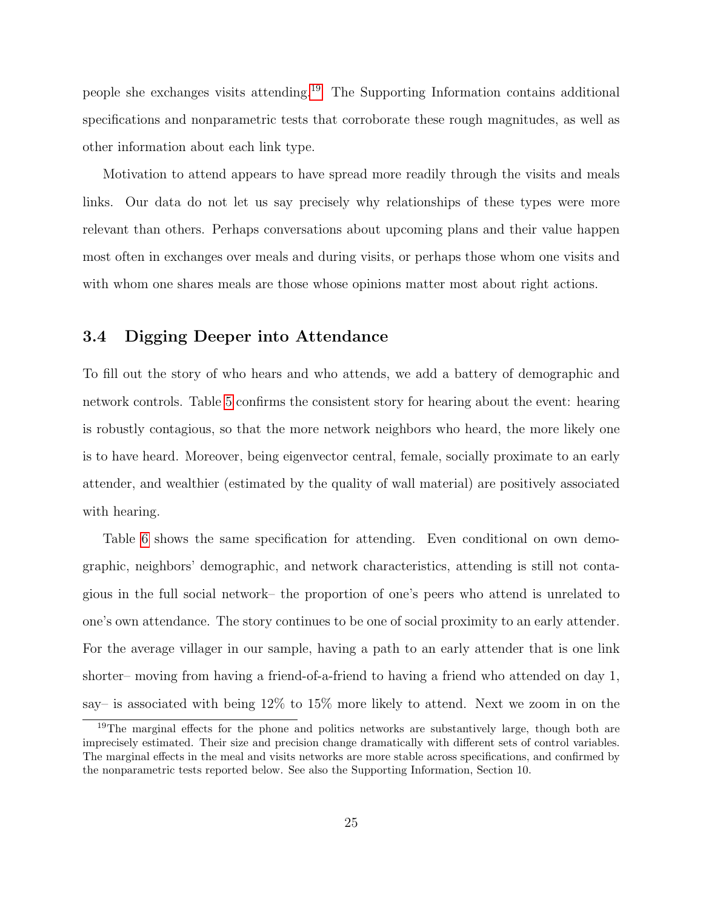people she exchanges visits attending.[19](#page-24-0) The Supporting Information contains additional specifications and nonparametric tests that corroborate these rough magnitudes, as well as other information about each link type.

Motivation to attend appears to have spread more readily through the visits and meals links. Our data do not let us say precisely why relationships of these types were more relevant than others. Perhaps conversations about upcoming plans and their value happen most often in exchanges over meals and during visits, or perhaps those whom one visits and with whom one shares meals are those whose opinions matter most about right actions.

#### 3.4 Digging Deeper into Attendance

To fill out the story of who hears and who attends, we add a battery of demographic and network controls. Table [5](#page-25-0) confirms the consistent story for hearing about the event: hearing is robustly contagious, so that the more network neighbors who heard, the more likely one is to have heard. Moreover, being eigenvector central, female, socially proximate to an early attender, and wealthier (estimated by the quality of wall material) are positively associated with hearing.

Table [6](#page-27-0) shows the same specification for attending. Even conditional on own demographic, neighbors' demographic, and network characteristics, attending is still not contagious in the full social network– the proportion of one's peers who attend is unrelated to one's own attendance. The story continues to be one of social proximity to an early attender. For the average villager in our sample, having a path to an early attender that is one link shorter– moving from having a friend-of-a-friend to having a friend who attended on day 1, say– is associated with being 12% to 15% more likely to attend. Next we zoom in on the

<span id="page-24-0"></span><sup>&</sup>lt;sup>19</sup>The marginal effects for the phone and politics networks are substantively large, though both are imprecisely estimated. Their size and precision change dramatically with different sets of control variables. The marginal effects in the meal and visits networks are more stable across specifications, and confirmed by the nonparametric tests reported below. See also the Supporting Information, Section 10.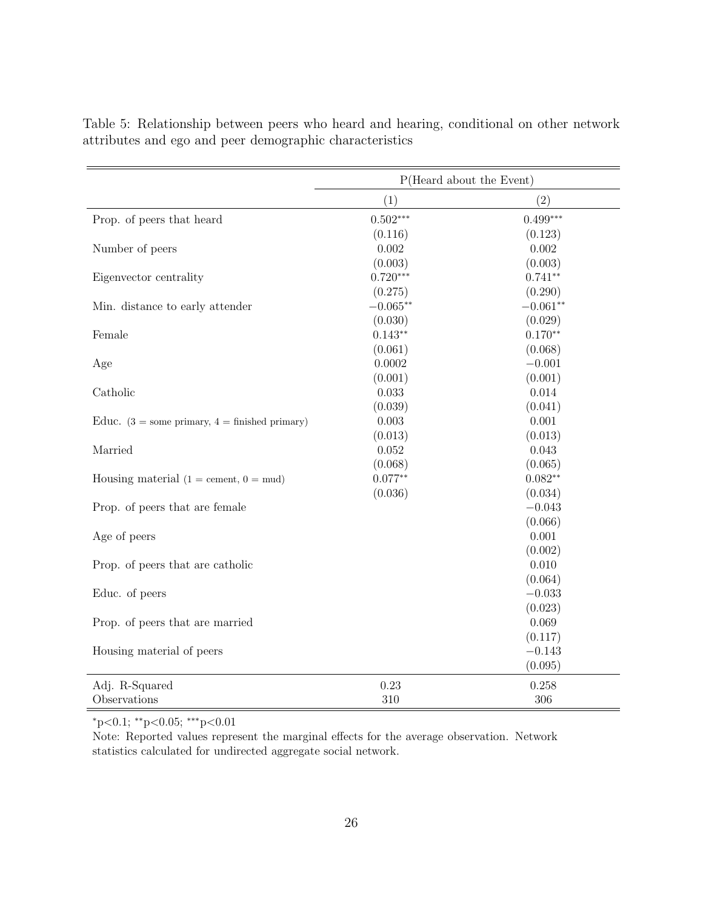<span id="page-25-0"></span>

|                                                        |            | P(Heard about the Event) |
|--------------------------------------------------------|------------|--------------------------|
|                                                        | (1)        | (2)                      |
| Prop. of peers that heard                              | $0.502***$ | $0.499***$               |
|                                                        | (0.116)    | (0.123)                  |
| Number of peers                                        | 0.002      | 0.002                    |
|                                                        | (0.003)    | (0.003)                  |
| Eigenvector centrality                                 | $0.720***$ | $0.741**$                |
|                                                        | (0.275)    | (0.290)                  |
| Min. distance to early attender                        | $-0.065**$ | $-0.061**$               |
|                                                        | (0.030)    | (0.029)                  |
| Female                                                 | $0.143**$  | $0.170**$                |
|                                                        | (0.061)    | (0.068)                  |
| Age                                                    | 0.0002     | $-0.001$                 |
|                                                        | (0.001)    | (0.001)                  |
| Catholic                                               | 0.033      | 0.014                    |
|                                                        | (0.039)    | (0.041)                  |
| Educ. $(3 =$ some primary, $4 =$ finished primary)     | 0.003      | 0.001                    |
|                                                        | (0.013)    | (0.013)                  |
| Married                                                | 0.052      | 0.043                    |
|                                                        | (0.068)    | (0.065)                  |
| Housing material $(1 = \text{cement}, 0 = \text{mud})$ | $0.077**$  | $0.082**$                |
|                                                        | (0.036)    | (0.034)                  |
| Prop. of peers that are female                         |            | $-0.043$                 |
|                                                        |            | (0.066)                  |
| Age of peers                                           |            | 0.001                    |
|                                                        |            | (0.002)                  |
| Prop. of peers that are catholic                       |            | 0.010                    |
|                                                        |            | (0.064)                  |
| Educ. of peers                                         |            | $-0.033$                 |
|                                                        |            | (0.023)                  |
| Prop. of peers that are married                        |            | 0.069                    |
|                                                        |            | (0.117)                  |
| Housing material of peers                              |            | $-0.143$                 |
|                                                        |            | (0.095)                  |
| Adj. R-Squared                                         | 0.23       | 0.258                    |
| Observations                                           | 310        | 306                      |

Table 5: Relationship between peers who heard and hearing, conditional on other network attributes and ego and peer demographic characteristics

 $*p<0.1$ ; \*\*p<0.05; \*\*\*p<0.01

Note: Reported values represent the marginal effects for the average observation. Network statistics calculated for undirected aggregate social network.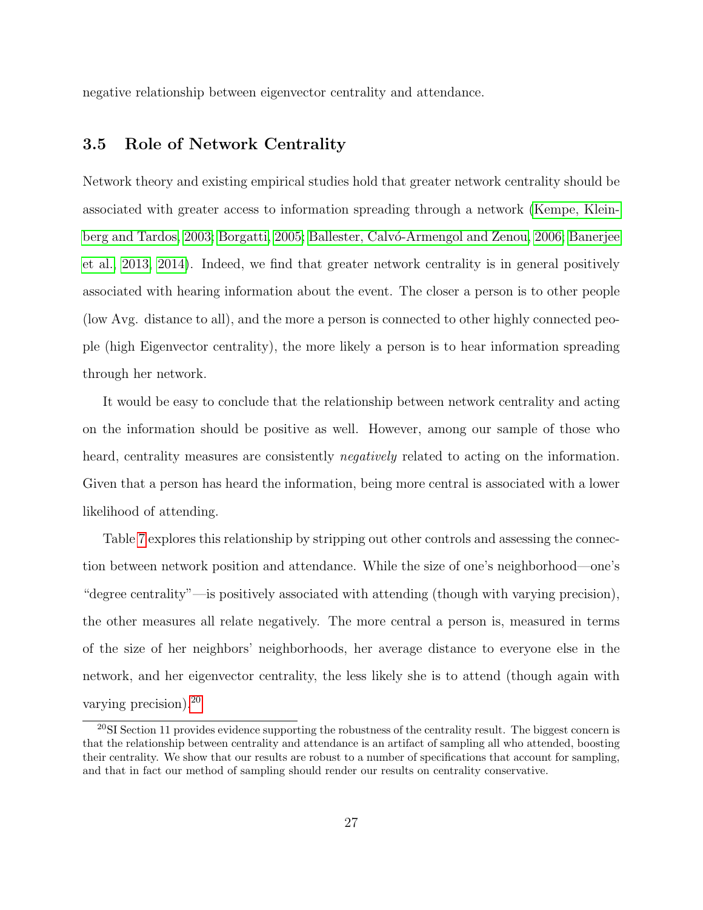negative relationship between eigenvector centrality and attendance.

#### 3.5 Role of Network Centrality

Network theory and existing empirical studies hold that greater network centrality should be associated with greater access to information spreading through a network [\(Kempe, Klein](#page-37-8)[berg and Tardos, 2003;](#page-37-8) [Borgatti, 2005;](#page-34-6) [Ballester, Calv´o-Armengol and Zenou, 2006;](#page-34-7) [Banerjee](#page-34-0) [et al., 2013,](#page-34-0) [2014\)](#page-34-8). Indeed, we find that greater network centrality is in general positively associated with hearing information about the event. The closer a person is to other people (low Avg. distance to all), and the more a person is connected to other highly connected people (high Eigenvector centrality), the more likely a person is to hear information spreading through her network.

It would be easy to conclude that the relationship between network centrality and acting on the information should be positive as well. However, among our sample of those who heard, centrality measures are consistently *negatively* related to acting on the information. Given that a person has heard the information, being more central is associated with a lower likelihood of attending.

Table [7](#page-28-0) explores this relationship by stripping out other controls and assessing the connection between network position and attendance. While the size of one's neighborhood—one's "degree centrality"—is positively associated with attending (though with varying precision), the other measures all relate negatively. The more central a person is, measured in terms of the size of her neighbors' neighborhoods, her average distance to everyone else in the network, and her eigenvector centrality, the less likely she is to attend (though again with varying precision).[20](#page-26-0)

<span id="page-26-0"></span><sup>&</sup>lt;sup>20</sup>SI Section 11 provides evidence supporting the robustness of the centrality result. The biggest concern is that the relationship between centrality and attendance is an artifact of sampling all who attended, boosting their centrality. We show that our results are robust to a number of specifications that account for sampling, and that in fact our method of sampling should render our results on centrality conservative.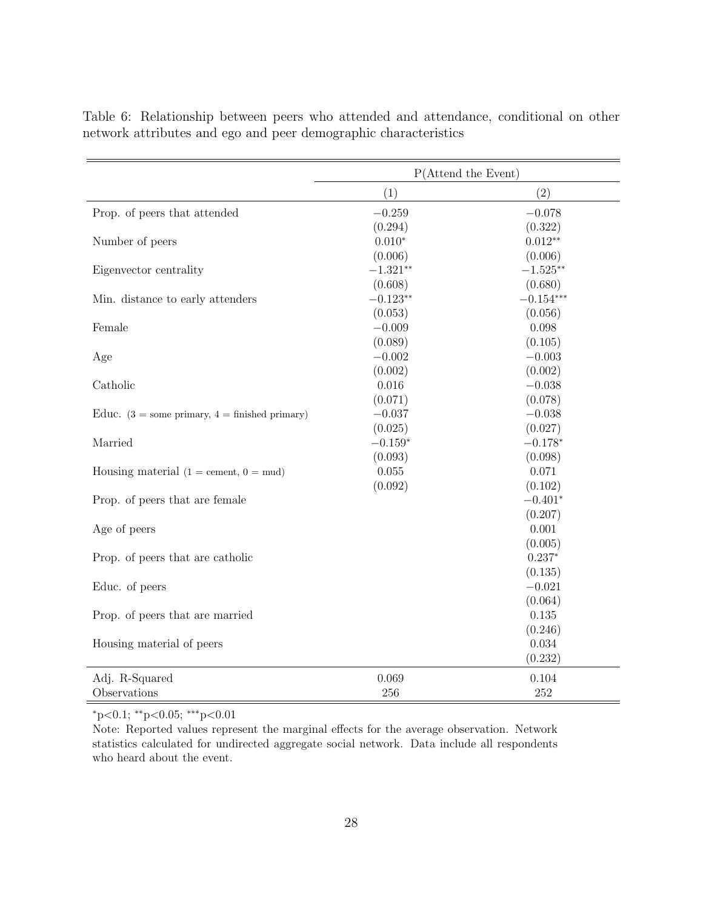<span id="page-27-0"></span>

|                                                        | P(Attend the Event) |             |  |
|--------------------------------------------------------|---------------------|-------------|--|
|                                                        | (1)                 | (2)         |  |
| Prop. of peers that attended                           | $-0.259$            | $-0.078$    |  |
|                                                        | (0.294)             | (0.322)     |  |
| Number of peers                                        | $0.010*$            | $0.012**$   |  |
|                                                        | (0.006)             | (0.006)     |  |
| Eigenvector centrality                                 | $-1.321**$          | $-1.525**$  |  |
|                                                        | (0.608)             | (0.680)     |  |
| Min. distance to early attenders                       | $-0.123**$          | $-0.154***$ |  |
|                                                        | (0.053)             | (0.056)     |  |
| Female                                                 | $-0.009$            | 0.098       |  |
|                                                        | (0.089)             | (0.105)     |  |
| Age                                                    | $-0.002$            | $-0.003$    |  |
|                                                        | (0.002)             | (0.002)     |  |
| Catholic                                               | 0.016               | $-0.038$    |  |
|                                                        | (0.071)             | (0.078)     |  |
| Educ. $(3 =$ some primary, $4 =$ finished primary)     | $-0.037$            | $-0.038$    |  |
|                                                        | (0.025)             | (0.027)     |  |
| Married                                                | $-0.159*$           | $-0.178*$   |  |
|                                                        | (0.093)             | (0.098)     |  |
| Housing material $(1 = \text{cement}, 0 = \text{mud})$ | 0.055               | 0.071       |  |
|                                                        | (0.092)             | (0.102)     |  |
| Prop. of peers that are female                         |                     | $-0.401*$   |  |
|                                                        |                     | (0.207)     |  |
| Age of peers                                           |                     | 0.001       |  |
|                                                        |                     | (0.005)     |  |
| Prop. of peers that are catholic                       |                     | $0.237*$    |  |
|                                                        |                     | (0.135)     |  |
| Educ. of peers                                         |                     | $-0.021$    |  |
|                                                        |                     | (0.064)     |  |
| Prop. of peers that are married                        |                     | 0.135       |  |
|                                                        |                     | (0.246)     |  |
| Housing material of peers                              |                     | 0.034       |  |
|                                                        |                     | (0.232)     |  |
| Adj. R-Squared                                         | 0.069               | 0.104       |  |
| Observations                                           | 256                 | 252         |  |

Table 6: Relationship between peers who attended and attendance, conditional on other network attributes and ego and peer demographic characteristics

<sup>∗</sup>p<0.1; ∗∗p<0.05; ∗∗∗p<0.01

Note: Reported values represent the marginal effects for the average observation. Network statistics calculated for undirected aggregate social network. Data include all respondents who heard about the event.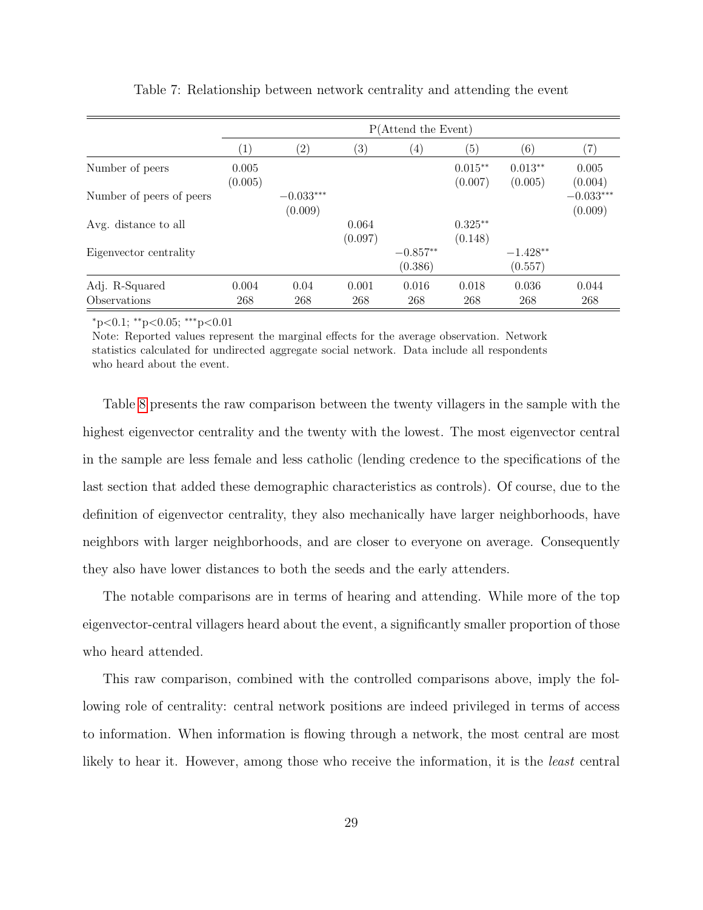<span id="page-28-0"></span>

|                          | P(Attend the Event) |                        |                   |                       |                      |                       |                        |
|--------------------------|---------------------|------------------------|-------------------|-----------------------|----------------------|-----------------------|------------------------|
|                          | $\left(1\right)$    | $\left( 2\right)$      | $\left( 3\right)$ | $\left(4\right)$      | (5)                  | (6)                   | $\left( 7\right)$      |
| Number of peers          | 0.005<br>(0.005)    |                        |                   |                       | $0.015**$<br>(0.007) | $0.013**$<br>(0.005)  | 0.005<br>(0.004)       |
| Number of peers of peers |                     | $-0.033***$<br>(0.009) |                   |                       |                      |                       | $-0.033***$<br>(0.009) |
| Avg. distance to all     |                     |                        | 0.064<br>(0.097)  |                       | $0.325**$<br>(0.148) |                       |                        |
| Eigenvector centrality   |                     |                        |                   | $-0.857**$<br>(0.386) |                      | $-1.428**$<br>(0.557) |                        |
| Adj. R-Squared           | 0.004               | 0.04                   | 0.001             | 0.016                 | 0.018                | 0.036                 | 0.044                  |
| Observations             | 268                 | 268                    | 268               | 268                   | 268                  | 268                   | 268                    |

Table 7: Relationship between network centrality and attending the event

<sup>∗</sup>p<0.1; ∗∗p<0.05; ∗∗∗p<0.01

Note: Reported values represent the marginal effects for the average observation. Network statistics calculated for undirected aggregate social network. Data include all respondents who heard about the event.

Table [8](#page-29-0) presents the raw comparison between the twenty villagers in the sample with the highest eigenvector centrality and the twenty with the lowest. The most eigenvector central in the sample are less female and less catholic (lending credence to the specifications of the last section that added these demographic characteristics as controls). Of course, due to the definition of eigenvector centrality, they also mechanically have larger neighborhoods, have neighbors with larger neighborhoods, and are closer to everyone on average. Consequently they also have lower distances to both the seeds and the early attenders.

The notable comparisons are in terms of hearing and attending. While more of the top eigenvector-central villagers heard about the event, a significantly smaller proportion of those who heard attended.

This raw comparison, combined with the controlled comparisons above, imply the following role of centrality: central network positions are indeed privileged in terms of access to information. When information is flowing through a network, the most central are most likely to hear it. However, among those who receive the information, it is the *least* central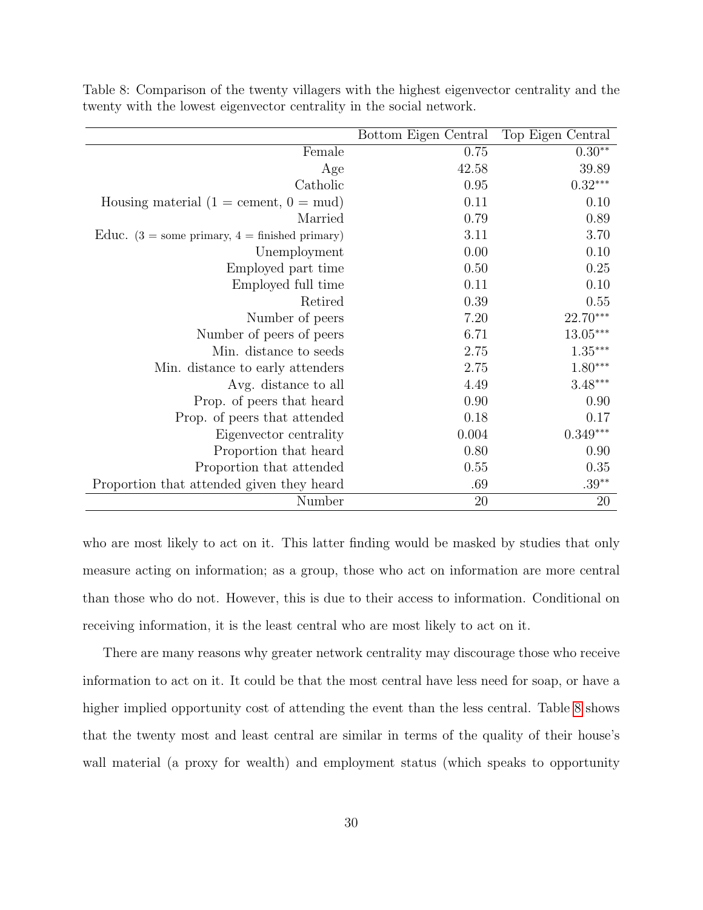<span id="page-29-0"></span>

|                                                        | Bottom Eigen Central | Top Eigen Central |
|--------------------------------------------------------|----------------------|-------------------|
| Female                                                 | 0.75                 | $0.30**$          |
| Age                                                    | 42.58                | 39.89             |
| Catholic                                               | 0.95                 | $0.32***$         |
| Housing material $(1 = \text{cement}, 0 = \text{mud})$ | 0.11                 | 0.10              |
| Married                                                | 0.79                 | 0.89              |
| Educ. $(3 =$ some primary, $4 =$ finished primary)     | 3.11                 | 3.70              |
| Unemployment                                           | 0.00                 | 0.10              |
| Employed part time                                     | 0.50                 | 0.25              |
| Employed full time                                     | 0.11                 | 0.10              |
| Retired                                                | 0.39                 | 0.55              |
| Number of peers                                        | 7.20                 | $22.70***$        |
| Number of peers of peers                               | 6.71                 | $13.05***$        |
| Min. distance to seeds                                 | 2.75                 | $1.35***$         |
| Min. distance to early attenders                       | 2.75                 | $1.80***$         |
| Avg. distance to all                                   | 4.49                 | $3.48***$         |
| Prop. of peers that heard                              | 0.90                 | 0.90              |
| Prop. of peers that attended                           | 0.18                 | 0.17              |
| Eigenvector centrality                                 | 0.004                | $0.349***$        |
| Proportion that heard                                  | 0.80                 | 0.90              |
| Proportion that attended                               | 0.55                 | 0.35              |
| Proportion that attended given they heard              | .69                  | $.39**$           |
| Number                                                 | 20                   | 20                |

Table 8: Comparison of the twenty villagers with the highest eigenvector centrality and the twenty with the lowest eigenvector centrality in the social network.

who are most likely to act on it. This latter finding would be masked by studies that only measure acting on information; as a group, those who act on information are more central than those who do not. However, this is due to their access to information. Conditional on receiving information, it is the least central who are most likely to act on it.

There are many reasons why greater network centrality may discourage those who receive information to act on it. It could be that the most central have less need for soap, or have a higher implied opportunity cost of attending the event than the less central. Table [8](#page-29-0) shows that the twenty most and least central are similar in terms of the quality of their house's wall material (a proxy for wealth) and employment status (which speaks to opportunity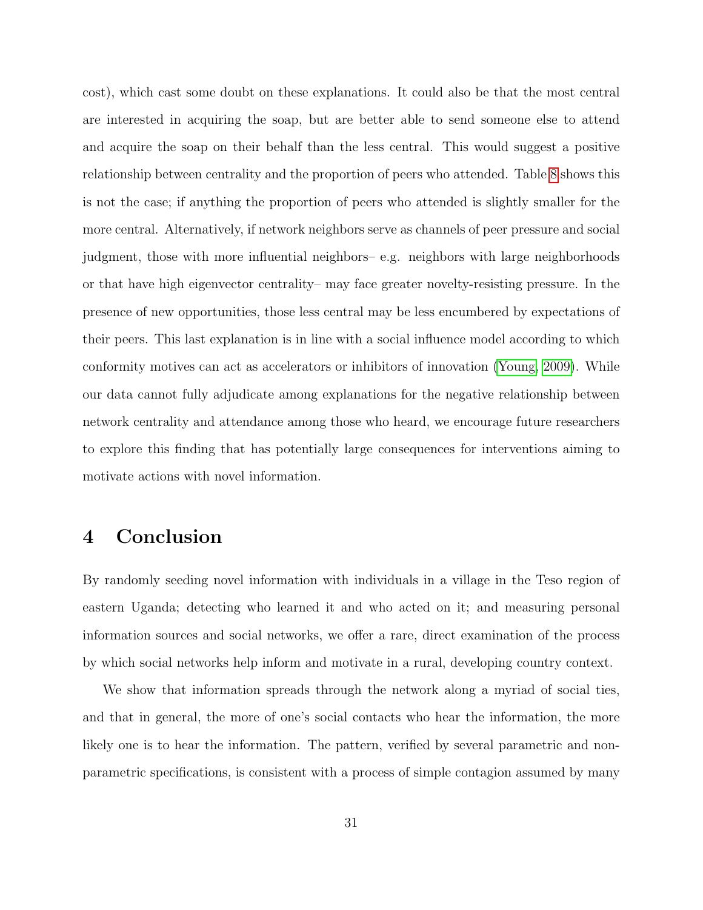cost), which cast some doubt on these explanations. It could also be that the most central are interested in acquiring the soap, but are better able to send someone else to attend and acquire the soap on their behalf than the less central. This would suggest a positive relationship between centrality and the proportion of peers who attended. Table [8](#page-29-0) shows this is not the case; if anything the proportion of peers who attended is slightly smaller for the more central. Alternatively, if network neighbors serve as channels of peer pressure and social judgment, those with more influential neighbors– e.g. neighbors with large neighborhoods or that have high eigenvector centrality– may face greater novelty-resisting pressure. In the presence of new opportunities, those less central may be less encumbered by expectations of their peers. This last explanation is in line with a social influence model according to which conformity motives can act as accelerators or inhibitors of innovation [\(Young, 2009\)](#page-38-7). While our data cannot fully adjudicate among explanations for the negative relationship between network centrality and attendance among those who heard, we encourage future researchers to explore this finding that has potentially large consequences for interventions aiming to motivate actions with novel information.

## 4 Conclusion

By randomly seeding novel information with individuals in a village in the Teso region of eastern Uganda; detecting who learned it and who acted on it; and measuring personal information sources and social networks, we offer a rare, direct examination of the process by which social networks help inform and motivate in a rural, developing country context.

We show that information spreads through the network along a myriad of social ties, and that in general, the more of one's social contacts who hear the information, the more likely one is to hear the information. The pattern, verified by several parametric and nonparametric specifications, is consistent with a process of simple contagion assumed by many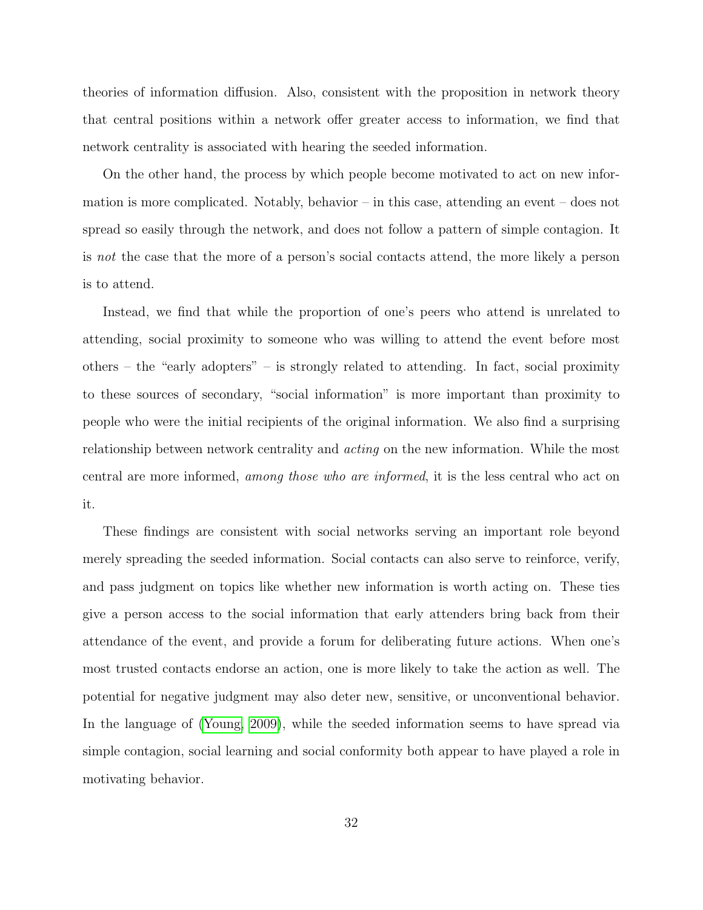theories of information diffusion. Also, consistent with the proposition in network theory that central positions within a network offer greater access to information, we find that network centrality is associated with hearing the seeded information.

On the other hand, the process by which people become motivated to act on new information is more complicated. Notably, behavior – in this case, attending an event – does not spread so easily through the network, and does not follow a pattern of simple contagion. It is not the case that the more of a person's social contacts attend, the more likely a person is to attend.

Instead, we find that while the proportion of one's peers who attend is unrelated to attending, social proximity to someone who was willing to attend the event before most others – the "early adopters" – is strongly related to attending. In fact, social proximity to these sources of secondary, "social information" is more important than proximity to people who were the initial recipients of the original information. We also find a surprising relationship between network centrality and acting on the new information. While the most central are more informed, among those who are informed, it is the less central who act on it.

These findings are consistent with social networks serving an important role beyond merely spreading the seeded information. Social contacts can also serve to reinforce, verify, and pass judgment on topics like whether new information is worth acting on. These ties give a person access to the social information that early attenders bring back from their attendance of the event, and provide a forum for deliberating future actions. When one's most trusted contacts endorse an action, one is more likely to take the action as well. The potential for negative judgment may also deter new, sensitive, or unconventional behavior. In the language of [\(Young, 2009\)](#page-38-7), while the seeded information seems to have spread via simple contagion, social learning and social conformity both appear to have played a role in motivating behavior.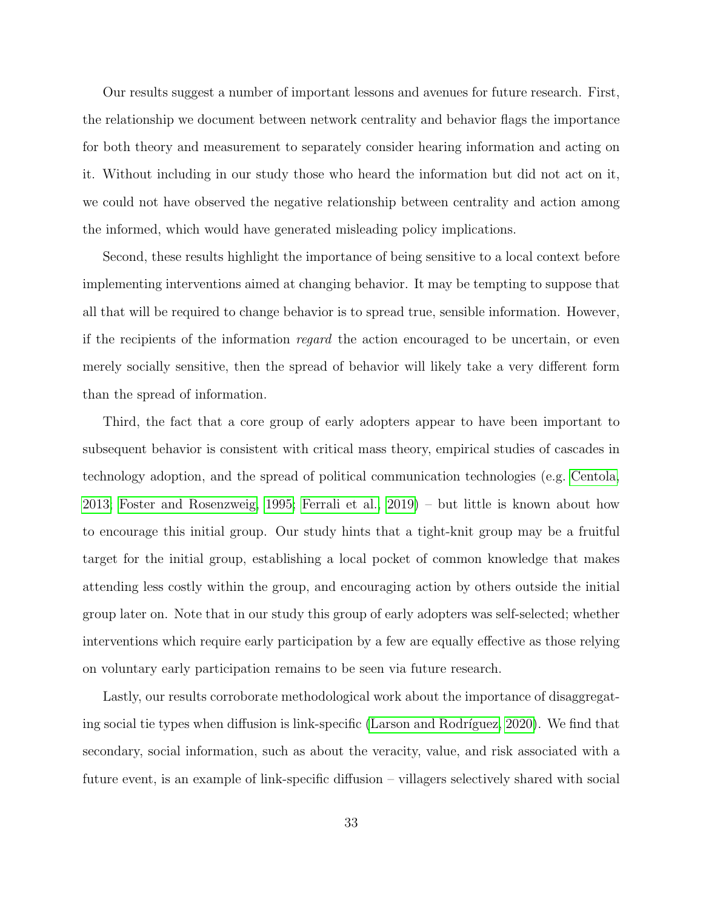Our results suggest a number of important lessons and avenues for future research. First, the relationship we document between network centrality and behavior flags the importance for both theory and measurement to separately consider hearing information and acting on it. Without including in our study those who heard the information but did not act on it, we could not have observed the negative relationship between centrality and action among the informed, which would have generated misleading policy implications.

Second, these results highlight the importance of being sensitive to a local context before implementing interventions aimed at changing behavior. It may be tempting to suppose that all that will be required to change behavior is to spread true, sensible information. However, if the recipients of the information regard the action encouraged to be uncertain, or even merely socially sensitive, then the spread of behavior will likely take a very different form than the spread of information.

Third, the fact that a core group of early adopters appear to have been important to subsequent behavior is consistent with critical mass theory, empirical studies of cascades in technology adoption, and the spread of political communication technologies (e.g. [Centola,](#page-35-7) [2013;](#page-35-7) [Foster and Rosenzweig, 1995;](#page-36-6) [Ferrali et al., 2019\)](#page-36-2) – but little is known about how to encourage this initial group. Our study hints that a tight-knit group may be a fruitful target for the initial group, establishing a local pocket of common knowledge that makes attending less costly within the group, and encouraging action by others outside the initial group later on. Note that in our study this group of early adopters was self-selected; whether interventions which require early participation by a few are equally effective as those relying on voluntary early participation remains to be seen via future research.

Lastly, our results corroborate methodological work about the importance of disaggregating social tie types when diffusion is link-specific (Larson and Rodríguez, 2020). We find that secondary, social information, such as about the veracity, value, and risk associated with a future event, is an example of link-specific diffusion – villagers selectively shared with social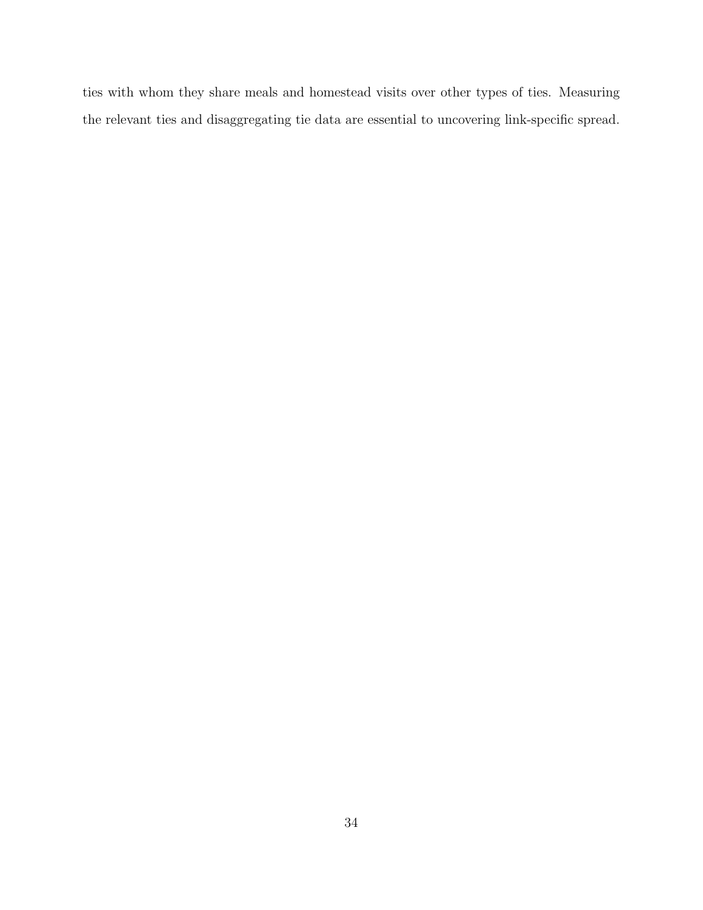ties with whom they share meals and homestead visits over other types of ties. Measuring the relevant ties and disaggregating tie data are essential to uncovering link-specific spread.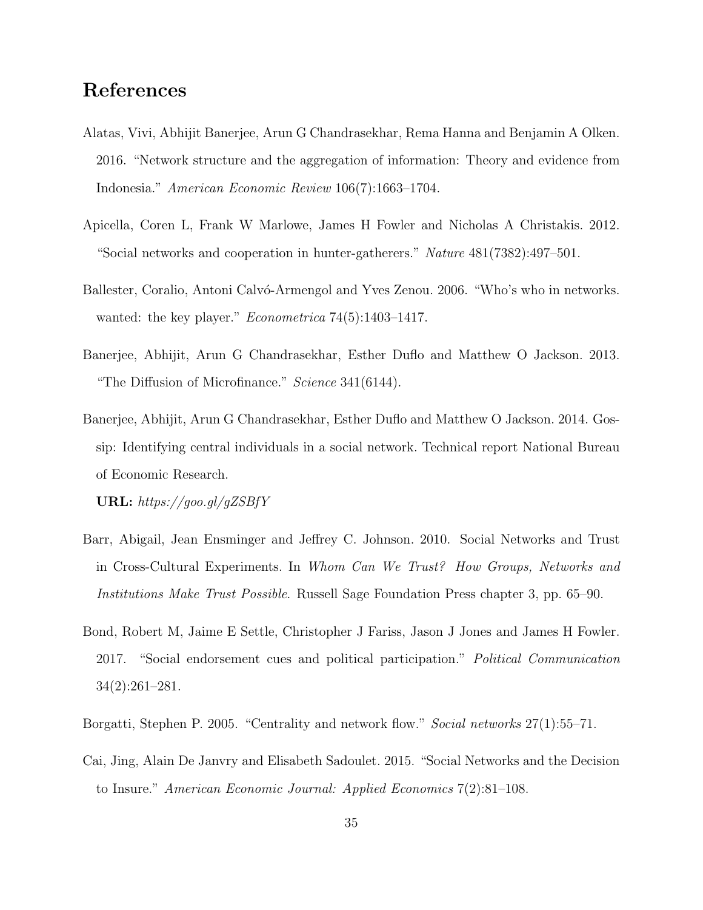## References

- <span id="page-34-3"></span>Alatas, Vivi, Abhijit Banerjee, Arun G Chandrasekhar, Rema Hanna and Benjamin A Olken. 2016. "Network structure and the aggregation of information: Theory and evidence from Indonesia." American Economic Review 106(7):1663–1704.
- <span id="page-34-4"></span>Apicella, Coren L, Frank W Marlowe, James H Fowler and Nicholas A Christakis. 2012. "Social networks and cooperation in hunter-gatherers." Nature 481(7382):497–501.
- <span id="page-34-7"></span>Ballester, Coralio, Antoni Calvó-Armengol and Yves Zenou. 2006. "Who's who in networks. wanted: the key player." *Econometrica* 74(5):1403–1417.
- <span id="page-34-0"></span>Banerjee, Abhijit, Arun G Chandrasekhar, Esther Duflo and Matthew O Jackson. 2013. "The Diffusion of Microfinance." Science 341(6144).
- <span id="page-34-8"></span>Banerjee, Abhijit, Arun G Chandrasekhar, Esther Duflo and Matthew O Jackson. 2014. Gossip: Identifying central individuals in a social network. Technical report National Bureau of Economic Research.

URL: https://goo.gl/gZSBfY

- <span id="page-34-2"></span>Barr, Abigail, Jean Ensminger and Jeffrey C. Johnson. 2010. Social Networks and Trust in Cross-Cultural Experiments. In Whom Can We Trust? How Groups, Networks and Institutions Make Trust Possible. Russell Sage Foundation Press chapter 3, pp. 65–90.
- <span id="page-34-1"></span>Bond, Robert M, Jaime E Settle, Christopher J Fariss, Jason J Jones and James H Fowler. 2017. "Social endorsement cues and political participation." Political Communication 34(2):261–281.
- <span id="page-34-6"></span><span id="page-34-5"></span>Borgatti, Stephen P. 2005. "Centrality and network flow." Social networks 27(1):55–71.
- Cai, Jing, Alain De Janvry and Elisabeth Sadoulet. 2015. "Social Networks and the Decision to Insure." American Economic Journal: Applied Economics 7(2):81–108.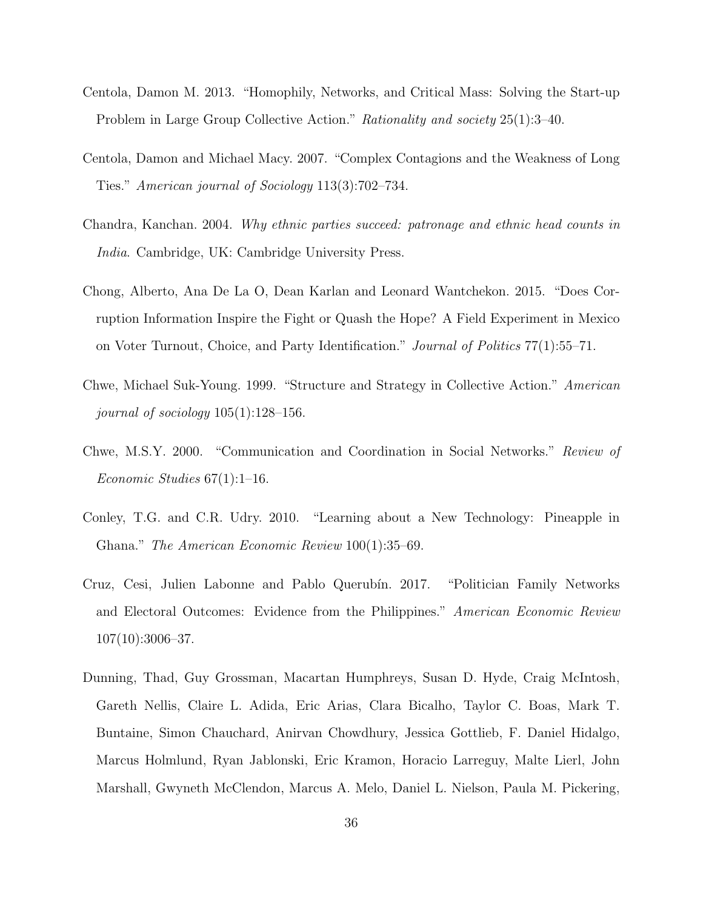- <span id="page-35-7"></span>Centola, Damon M. 2013. "Homophily, Networks, and Critical Mass: Solving the Start-up Problem in Large Group Collective Action." Rationality and society 25(1):3–40.
- <span id="page-35-6"></span>Centola, Damon and Michael Macy. 2007. "Complex Contagions and the Weakness of Long Ties." American journal of Sociology 113(3):702–734.
- <span id="page-35-0"></span>Chandra, Kanchan. 2004. Why ethnic parties succeed: patronage and ethnic head counts in India. Cambridge, UK: Cambridge University Press.
- <span id="page-35-2"></span>Chong, Alberto, Ana De La O, Dean Karlan and Leonard Wantchekon. 2015. "Does Corruption Information Inspire the Fight or Quash the Hope? A Field Experiment in Mexico on Voter Turnout, Choice, and Party Identification." Journal of Politics 77(1):55–71.
- <span id="page-35-5"></span>Chwe, Michael Suk-Young. 1999. "Structure and Strategy in Collective Action." American journal of sociology  $105(1):128-156$ .
- <span id="page-35-1"></span>Chwe, M.S.Y. 2000. "Communication and Coordination in Social Networks." Review of Economic Studies 67(1):1–16.
- <span id="page-35-4"></span>Conley, T.G. and C.R. Udry. 2010. "Learning about a New Technology: Pineapple in Ghana." The American Economic Review 100(1):35–69.
- <span id="page-35-8"></span>Cruz, Cesi, Julien Labonne and Pablo Querub´ın. 2017. "Politician Family Networks and Electoral Outcomes: Evidence from the Philippines." American Economic Review  $107(10):3006 - 37.$
- <span id="page-35-3"></span>Dunning, Thad, Guy Grossman, Macartan Humphreys, Susan D. Hyde, Craig McIntosh, Gareth Nellis, Claire L. Adida, Eric Arias, Clara Bicalho, Taylor C. Boas, Mark T. Buntaine, Simon Chauchard, Anirvan Chowdhury, Jessica Gottlieb, F. Daniel Hidalgo, Marcus Holmlund, Ryan Jablonski, Eric Kramon, Horacio Larreguy, Malte Lierl, John Marshall, Gwyneth McClendon, Marcus A. Melo, Daniel L. Nielson, Paula M. Pickering,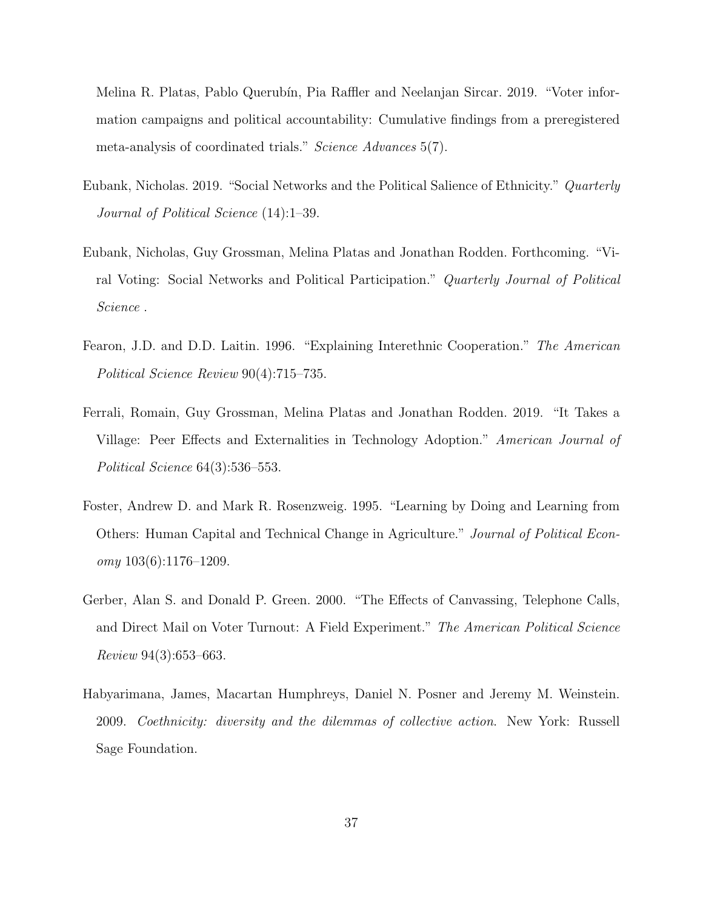Melina R. Platas, Pablo Querubín, Pia Raffler and Neelanjan Sircar. 2019. "Voter information campaigns and political accountability: Cumulative findings from a preregistered meta-analysis of coordinated trials." Science Advances 5(7).

- <span id="page-36-5"></span>Eubank, Nicholas. 2019. "Social Networks and the Political Salience of Ethnicity." Quarterly Journal of Political Science (14):1–39.
- <span id="page-36-3"></span>Eubank, Nicholas, Guy Grossman, Melina Platas and Jonathan Rodden. Forthcoming. "Viral Voting: Social Networks and Political Participation." Quarterly Journal of Political Science .
- <span id="page-36-1"></span>Fearon, J.D. and D.D. Laitin. 1996. "Explaining Interethnic Cooperation." The American Political Science Review 90(4):715–735.
- <span id="page-36-2"></span>Ferrali, Romain, Guy Grossman, Melina Platas and Jonathan Rodden. 2019. "It Takes a Village: Peer Effects and Externalities in Technology Adoption." American Journal of Political Science 64(3):536–553.
- <span id="page-36-6"></span>Foster, Andrew D. and Mark R. Rosenzweig. 1995. "Learning by Doing and Learning from Others: Human Capital and Technical Change in Agriculture." Journal of Political Economy 103(6):1176–1209.
- <span id="page-36-4"></span>Gerber, Alan S. and Donald P. Green. 2000. "The Effects of Canvassing, Telephone Calls, and Direct Mail on Voter Turnout: A Field Experiment." The American Political Science Review 94(3):653–663.
- <span id="page-36-0"></span>Habyarimana, James, Macartan Humphreys, Daniel N. Posner and Jeremy M. Weinstein. 2009. Coethnicity: diversity and the dilemmas of collective action. New York: Russell Sage Foundation.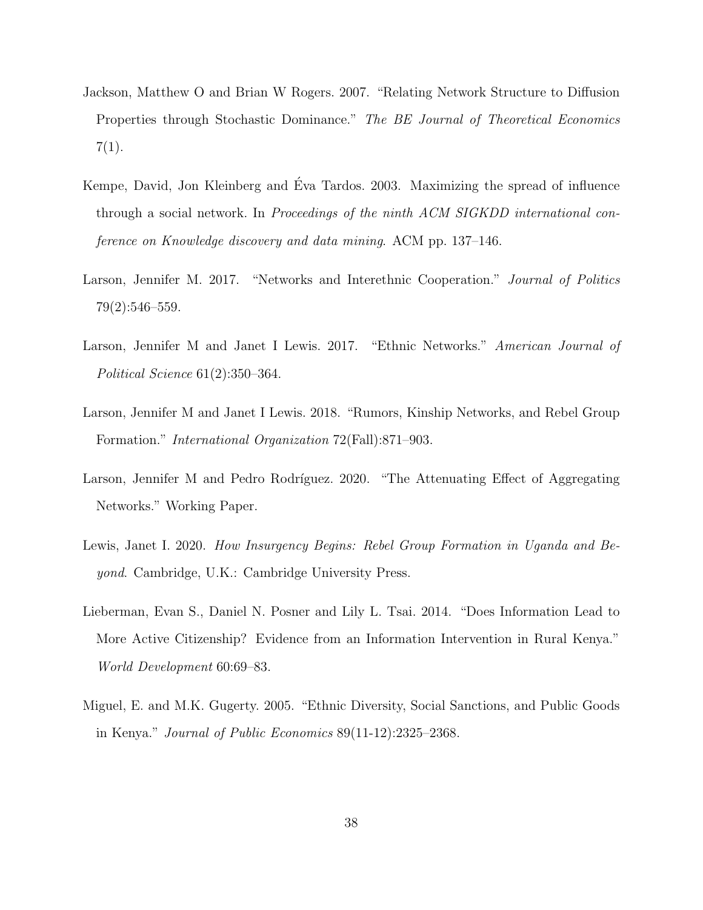- <span id="page-37-6"></span>Jackson, Matthew O and Brian W Rogers. 2007. "Relating Network Structure to Diffusion Properties through Stochastic Dominance." The BE Journal of Theoretical Economics 7(1).
- <span id="page-37-8"></span>Kempe, David, Jon Kleinberg and Eva Tardos. 2003. Maximizing the spread of influence through a social network. In Proceedings of the ninth ACM SIGKDD international conference on Knowledge discovery and data mining. ACM pp. 137–146.
- <span id="page-37-3"></span>Larson, Jennifer M. 2017. "Networks and Interethnic Cooperation." Journal of Politics 79(2):546–559.
- <span id="page-37-5"></span>Larson, Jennifer M and Janet I Lewis. 2017. "Ethnic Networks." American Journal of Political Science 61(2):350–364.
- <span id="page-37-1"></span>Larson, Jennifer M and Janet I Lewis. 2018. "Rumors, Kinship Networks, and Rebel Group Formation." International Organization 72(Fall):871–903.
- <span id="page-37-7"></span>Larson, Jennifer M and Pedro Rodríguez. 2020. "The Attenuating Effect of Aggregating Networks." Working Paper.
- <span id="page-37-2"></span>Lewis, Janet I. 2020. How Insurgency Begins: Rebel Group Formation in Uganda and Beyond. Cambridge, U.K.: Cambridge University Press.
- <span id="page-37-4"></span>Lieberman, Evan S., Daniel N. Posner and Lily L. Tsai. 2014. "Does Information Lead to More Active Citizenship? Evidence from an Information Intervention in Rural Kenya." World Development 60:69–83.
- <span id="page-37-0"></span>Miguel, E. and M.K. Gugerty. 2005. "Ethnic Diversity, Social Sanctions, and Public Goods in Kenya." Journal of Public Economics 89(11-12):2325–2368.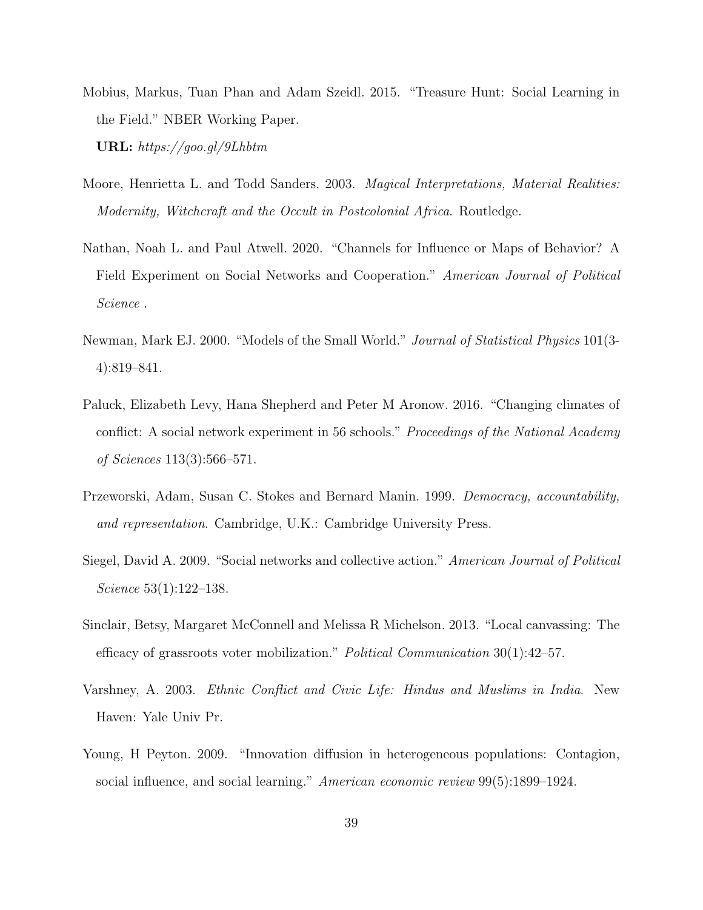<span id="page-38-3"></span>Mobius, Markus, Tuan Phan and Adam Szeidl. 2015. "Treasure Hunt: Social Learning in the Field." NBER Working Paper.

URL: https://goo.gl/9Lhbtm

- <span id="page-38-9"></span>Moore, Henrietta L. and Todd Sanders. 2003. Magical Interpretations, Material Realities: Modernity, Witchcraft and the Occult in Postcolonial Africa. Routledge.
- <span id="page-38-5"></span>Nathan, Noah L. and Paul Atwell. 2020. "Channels for Influence or Maps of Behavior? A Field Experiment on Social Networks and Cooperation." American Journal of Political Science .
- <span id="page-38-6"></span>Newman, Mark EJ. 2000. "Models of the Small World." Journal of Statistical Physics 101(3- 4):819–841.
- <span id="page-38-8"></span>Paluck, Elizabeth Levy, Hana Shepherd and Peter M Aronow. 2016. "Changing climates of conflict: A social network experiment in 56 schools." Proceedings of the National Academy of Sciences 113(3):566–571.
- <span id="page-38-0"></span>Przeworski, Adam, Susan C. Stokes and Bernard Manin. 1999. Democracy, accountability, and representation. Cambridge, U.K.: Cambridge University Press.
- <span id="page-38-2"></span>Siegel, David A. 2009. "Social networks and collective action." American Journal of Political Science 53(1):122–138.
- <span id="page-38-4"></span>Sinclair, Betsy, Margaret McConnell and Melissa R Michelson. 2013. "Local canvassing: The efficacy of grassroots voter mobilization." Political Communication 30(1):42–57.
- <span id="page-38-1"></span>Varshney, A. 2003. Ethnic Conflict and Civic Life: Hindus and Muslims in India. New Haven: Yale Univ Pr.
- <span id="page-38-7"></span>Young, H Peyton. 2009. "Innovation diffusion in heterogeneous populations: Contagion, social influence, and social learning." American economic review 99(5):1899–1924.